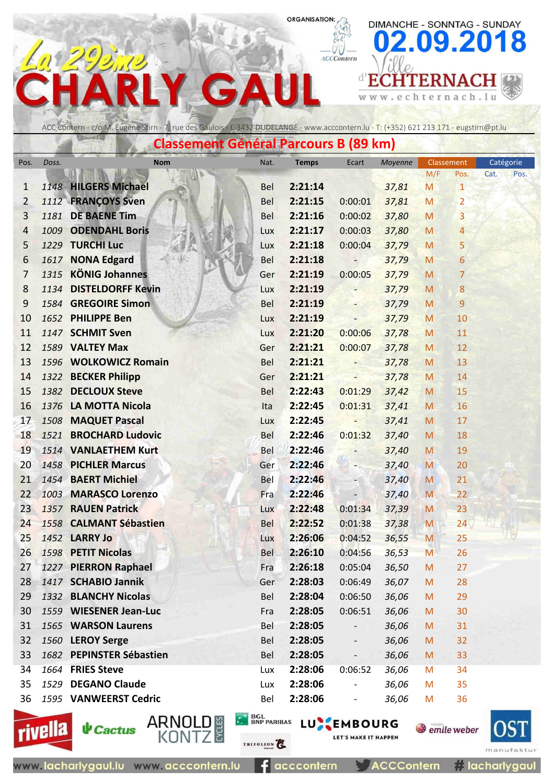DIMANCHE - SONNTAG - SUNDAY

chternach.lu

**d'ECHTERNACH** 

 $\leq$  w  $\leq$  .

e

09.2018

# ACCContern G  $\Delta$

ACC Contern - c/o M. Eugène Stirn - 7, rue des Gaulois - L-3432 DUDELANGE - www.acccontern.lu - T: (+352) 621 213 171 - eugstirn@pt.lu

**Classement Général Parcours B (89 km)**

| Pos.           | Doss.   | Nom                                     | Nat.                       | <b>Temps</b> | Ecart                              | Moyenne | M/F | Classement<br>Pos.         | Catégorie<br>Cat.<br>Pos. |
|----------------|---------|-----------------------------------------|----------------------------|--------------|------------------------------------|---------|-----|----------------------------|---------------------------|
| 1              |         | 1148 HILGERS Michael                    | Bel                        | 2:21:14      |                                    | 37,81   | M   | $\mathbf{1}$               |                           |
| $\overline{2}$ |         | 1112 FRANCOYS Sven                      | <b>Bel</b>                 | 2:21:15      | 0:00:01                            | 37,81   | M   | $\overline{2}$             |                           |
| 3              | 1181    | <b>DE BAENE Tim</b>                     | <b>Bel</b>                 | 2:21:16      | 0:00:02                            | 37,80   | M   | 3                          |                           |
| 4              | 1009    | <b>ODENDAHL Boris</b>                   | Lux                        | 2:21:17      | 0:00:03                            | 37,80   | M   | 4                          |                           |
| 5              |         | 1229 TURCHI Luc                         | Lux                        | 2:21:18      | 0:00:04                            | 37,79   | M   | 5                          |                           |
| 6              |         | 1617 NONA Edgard                        | Bel                        | 2:21:18      |                                    | 37,79   | M   | 6                          |                           |
| $\overline{7}$ |         | 1315 KÖNIG Johannes                     | Ger                        | 2:21:19      | 0:00:05                            | 37,79   | M   | $\overline{7}$             |                           |
| 8              | 1134    | <b>DISTELDORFF Kevin</b>                | Lux                        | 2:21:19      |                                    | 37,79   | M   | 8                          |                           |
| 9              |         | 1584 GREGOIRE Simon                     | Bel                        | 2:21:19      |                                    | 37,79   | M   | 9                          |                           |
| 10             |         | 1652 PHILIPPE Ben                       | Lux                        | 2:21:19      |                                    | 37,79   | M   | 10                         |                           |
| 11             |         | 1147 SCHMIT Sven                        | Lux                        | 2:21:20      | 0:00:06                            | 37,78   | M   | 11                         |                           |
| 12             |         | 1589 VALTEY Max                         | Ger                        | 2:21:21      | 0:00:07                            | 37,78   | M   | 12                         |                           |
| 13             |         | 1596 WOLKOWICZ Romain                   | Bel                        | 2:21:21      |                                    | 37,78   | M   | 13                         |                           |
| 14             |         | 1322 BECKER Philipp                     | Ger                        | 2:21:21      |                                    | 37,78   | M   | 14                         |                           |
| 15             |         | 1382 DECLOUX Steve                      | <b>Bel</b>                 | 2:22:43      | 0:01:29                            | 37,42   | M   | 15                         |                           |
| 16             | 1376    | <b>LA MOTTA Nicola</b>                  | Ita                        | 2:22:45      | 0:01:31                            | 37,41   | M   | 16                         |                           |
| 17             |         | 1508 MAQUET Pascal                      | Lux                        | 2:22:45      |                                    | 37,41   | M   | 17                         |                           |
| 18             | 1521    | <b>BROCHARD Ludovic</b>                 | Bel                        | 2:22:46      | 0:01:32                            | 37,40   | M   | 18                         |                           |
| 19             |         | 1514 VANLAETHEM Kurt                    | Bel                        | 2:22:46      |                                    | 37,40   | M   | 19                         |                           |
| 20             |         | 1458 PICHLER Marcus                     | Ger                        | 2:22:46      |                                    | 37,40   | M   | 20                         |                           |
| 21             |         | 1454 BAERT Michiel                      | Bel                        | 2:22:46      |                                    | 37,40   | M   | 21                         |                           |
| 22             |         | 1003 MARASCO Lorenzo                    | Fra                        | 2:22:46      |                                    | 37,40   | M   | 22                         |                           |
| 23             | 1357    | <b>RAUEN Patrick</b>                    | Lux                        | 2:22:48      | 0:01:34                            | 37,39   | M   | 23                         |                           |
| 24             |         | 1558 CALMANT Sébastien                  | Bel                        | 2:22:52      | 0:01:38                            | 37,38   | M   | 24                         |                           |
| 25             |         | <b>1452 LARRY Jo</b>                    | Lux                        | 2:26:06      | 0:04:52                            | 36,55   | M   | 25                         |                           |
| 26             |         | 1598 PETIT Nicolas                      | Bel                        | 2:26:10      | 0:04:56                            | 36,53   | M   | 26                         |                           |
| 27             |         | 1227 PIERRON Raphael                    | Fra                        | 2:26:18      | 0:05:04                            | 36,50   | M   | 27                         |                           |
| 28             |         | 1417 SCHABIO Jannik                     | Ger                        | 2:28:03      | 0:06:49                            | 36,07   | M   | 28                         |                           |
| 29             |         | 1332 BLANCHY Nicolas                    | Bel                        | 2:28:04      | 0:06:50                            | 36,06   | M   | 29                         |                           |
| 30             |         | 1559 WIESENER Jean-Luc                  | Fra                        | 2:28:05      | 0:06:51                            | 36,06   | M   | 30                         |                           |
| 31             |         | 1565 WARSON Laurens                     | Bel                        | 2:28:05      |                                    | 36,06   | M   | 31                         |                           |
| 32             |         | 1560 LEROY Serge                        | Bel                        | 2:28:05      |                                    | 36,06   | M   | 32                         |                           |
| 33             |         | 1682 PEPINSTER Sébastien                | Bel                        | 2:28:05      |                                    | 36,06   | M   | 33                         |                           |
| 34             |         | 1664 FRIES Steve                        | Lux                        | 2:28:06      | 0:06:52                            | 36,06   | M   | 34                         |                           |
| 35             | 1529    | <b>DEGANO Claude</b>                    | Lux                        | 2:28:06      |                                    | 36,06   | M   | 35                         |                           |
| 36             |         | 1595 VANWEERST Cedric                   | Bel                        | 2:28:06      |                                    | 36,06   | M   | 36                         |                           |
|                | rivella | ARNOL<br><b>CLES</b><br><b>V</b> Cactus | <b>BGL<br/>BNP PARIBAS</b> |              | LUXEMBOURG<br>LET'S MAKE IT HAPPEN |         |     | <b><i>Semile</i></b> weber |                           |





 $f$  acccontern

TRIFOLION

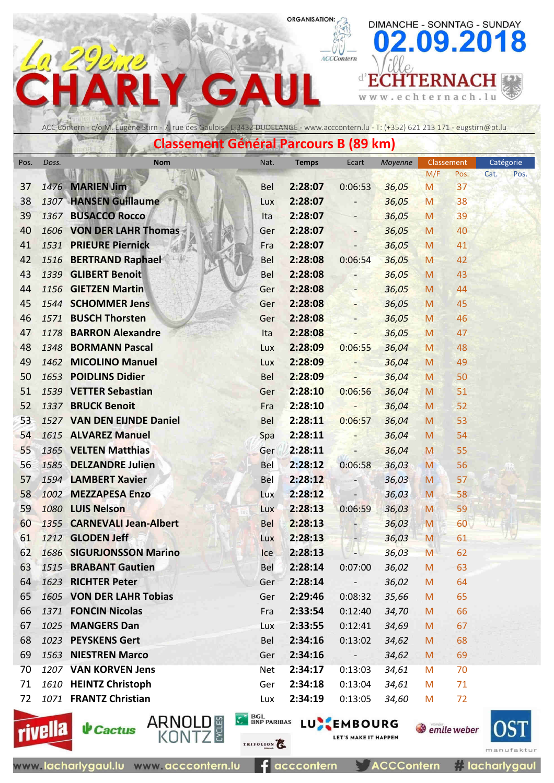ACCContern

 $\leq$  w  $\leq$  .

 $\mathbf{r}$ 

### ACC Contern - c/o M. Eugène Stirn - 7, rue des Gaulois - L-3432 DUDELANGE - www.acccontern.lu - T: (+352) 621 213 171 - eugstirn@pt.lu

 $\blacktriangle$ 

G

**PO DE CO** 

|      |       | Classement General Parcours B (89 km) |            |              |                          |         |                                                                                                            |            |           |      |
|------|-------|---------------------------------------|------------|--------------|--------------------------|---------|------------------------------------------------------------------------------------------------------------|------------|-----------|------|
| Pos. | Doss. | <b>Nom</b>                            | Nat.       | <b>Temps</b> | Ecart                    | Moyenne |                                                                                                            | Classement | Catégorie |      |
|      |       |                                       |            |              |                          |         | M/F                                                                                                        | Pos.       | Cat.      | Pos. |
| 37   |       | 1476 MARIEN Jim                       | <b>Bel</b> | 2:28:07      | 0:06:53                  | 36,05   | M                                                                                                          | 37         |           |      |
| 38   |       | 1307 HANSEN Guillaume                 | Lux        | 2:28:07      |                          | 36,05   | M                                                                                                          | 38         |           |      |
| 39   |       | 1367 BUSACCO Rocco                    | Ita        | 2:28:07      |                          | 36,05   | M                                                                                                          | 39         |           |      |
| 40   |       | 1606 VON DER LAHR Thomas              | Ger        | 2:28:07      |                          | 36,05   | M                                                                                                          | 40         |           |      |
| 41   |       | 1531 PRIEURE Piernick                 | Fra        | 2:28:07      | $\overline{\phantom{0}}$ | 36,05   | M                                                                                                          | 41         |           |      |
| 42   |       | 1516 BERTRAND Raphael                 | Bel        | 2:28:08      | 0:06:54                  | 36,05   | M                                                                                                          | 42         |           |      |
| 43   |       | 1339 GLIBERT Benoit                   | Bel        | 2:28:08      |                          | 36,05   | M                                                                                                          | 43         |           |      |
| 44   |       | 1156 GIETZEN Martin                   | Ger        | 2:28:08      |                          | 36,05   | M                                                                                                          | 44         |           |      |
| 45   |       | 1544 SCHOMMER Jens                    | Ger        | 2:28:08      |                          | 36,05   | M                                                                                                          | 45         |           |      |
| 46   |       | 1571 BUSCH Thorsten                   | Ger        | 2:28:08      |                          | 36,05   | M                                                                                                          | 46         |           |      |
| 47   |       | 1178 BARRON Alexandre                 | Ita        | 2:28:08      |                          | 36,05   | M                                                                                                          | 47         |           |      |
| 48   |       | 1348 BORMANN Pascal                   | Lux        | 2:28:09      | 0:06:55                  | 36,04   | M                                                                                                          | 48         |           |      |
| 49   |       | 1462 MICOLINO Manuel                  | Lux        | 2:28:09      |                          | 36,04   | M                                                                                                          | 49         |           |      |
| 50   |       | 1653 POIDLINS Didier                  | Bel        | 2:28:09      |                          | 36,04   | M                                                                                                          | 50         |           |      |
| 51   |       | 1539 VETTER Sebastian                 | Ger        | 2:28:10      | 0:06:56                  | 36,04   | M                                                                                                          | 51         |           |      |
| 52   |       | 1337 BRUCK Benoit                     | Fra        | 2:28:10      |                          | 36,04   | M                                                                                                          | 52         |           |      |
| 53   |       | 1527 VAN DEN EIJNDE Daniel            | Bel        | 2:28:11      | 0:06:57                  | 36,04   | M                                                                                                          | 53         |           |      |
| 54   |       | 1615 ALVAREZ Manuel                   | Spa        | 2:28:11      |                          | 36,04   | M                                                                                                          | 54         |           |      |
| 55   |       | 1365 VELTEN Matthias                  | Ger        | 2:28:11      |                          | 36,04   | M                                                                                                          | 55         |           |      |
| 56   |       | 1585 DELZANDRE Julien                 | Bel        | 2:28:12      | 0:06:58                  | 36,03   | M                                                                                                          | 56         |           |      |
| 57   |       | 1594 LAMBERT Xavier                   | Bel        | 2:28:12      |                          | 36,03   | M                                                                                                          | 57         |           |      |
| 58   |       | 1002 MEZZAPESA Enzo                   | Lux        | 2:28:12      |                          | 36,03   | M                                                                                                          | 58         |           |      |
| 59   |       | 1080 LUIS Nelson                      | Lux        | 2:28:13      | 0:06:59                  | 36,03   | M                                                                                                          | 59         |           |      |
| 60   |       | 1355 CARNEVALI Jean-Albert            | Bel        | 2:28:13      |                          | 36,03   | M                                                                                                          | 60         |           |      |
| 61   |       | 1212 GLODEN Jeff                      | Lux        | 2:28:13      |                          | 36,03   | M                                                                                                          | 61         |           |      |
| 62   |       | 1686 SIGURJONSSON Marino              | Ice        | 2:28:13      | -10                      | 36,03   | M                                                                                                          | 62         |           |      |
| 63   |       | 1515 BRABANT Gautien                  | Bel        | 2:28:14      | 0:07:00                  | 36,02   | M                                                                                                          | 63         |           |      |
| 64   |       | 1623 RICHTER Peter                    | Ger        | 2:28:14      | $\sim 100$               | 36,02   | $\mathsf{M}% _{T}=\mathsf{M}_{T}\!\left( a,b\right) ,\ \mathsf{M}_{T}=\mathsf{M}_{T}\!\left( a,b\right) ,$ | 64         |           |      |
| 65   |       | 1605 VON DER LAHR Tobias              | Ger        | 2:29:46      | 0:08:32                  | 35,66   | M                                                                                                          | 65         |           |      |
| 66   |       | 1371 FONCIN Nicolas                   | Fra        | 2:33:54      | 0:12:40                  | 34,70   | M                                                                                                          | 66         |           |      |
| 67   |       | 1025 MANGERS Dan                      | Lux        | 2:33:55      | 0:12:41                  | 34,69   | M                                                                                                          | 67         |           |      |
| 68   |       | 1023 PEYSKENS Gert                    | Bel        | 2:34:16      | 0:13:02                  | 34,62   | M                                                                                                          | 68         |           |      |
| 69   |       | 1563 NIESTREN Marco                   | Ger        | 2:34:16      | $\overline{\phantom{a}}$ | 34,62   | M                                                                                                          | 69         |           |      |
| 70   |       | 1207 VAN KORVEN Jens                  | Net        | 2:34:17      | 0:13:03                  | 34,61   | M                                                                                                          | 70         |           |      |
| 71   |       | 1610 HEINTZ Christoph                 | Ger        | 2:34:18      | 0:13:04                  | 34,61   | M                                                                                                          | 71         |           |      |
| 72   |       | 1071 FRANTZ Christian                 | Lux        | 2:34:19      | 0:13:05                  | 34,60   | M                                                                                                          | 72         |           |      |





TRIFOLION<sup>2</sup>

**C BOL BNP PARIBAS LU EMBOURG** LET'S MAKE IT HAPPEN

**ACCContern** 



DIMANCHE - SONNTAG - SUNDAY

echternach.lu

**d'ECHTERNACH** 

09.2018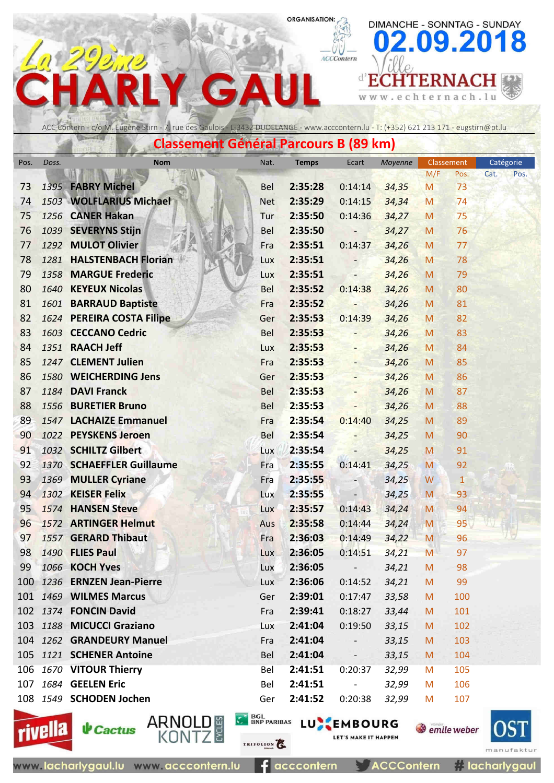ACCContern

 $\leq$  w  $\leq$  .

e

DIMANCHE - SONNTAG - SUNDAY

chternach.lu

**d'ECHTERNACH** 

09.2018



 $\blacktriangle$ 

G

|          | <b>Classement Général Parcours B (89 km)</b> |                                        |                                          |                    |                          |                |        |                            |              |  |  |  |  |
|----------|----------------------------------------------|----------------------------------------|------------------------------------------|--------------------|--------------------------|----------------|--------|----------------------------|--------------|--|--|--|--|
| Pos.     | Doss.                                        | <b>Nom</b>                             | Nat.                                     | <b>Temps</b>       | Ecart                    | Moyenne        |        | Classement                 | Catégorie    |  |  |  |  |
|          |                                              |                                        |                                          |                    |                          |                | M/F    | Pos.                       | Cat.<br>Pos. |  |  |  |  |
| 73       |                                              | 1395 FABRY Michel                      | <b>Bel</b>                               | 2:35:28            | 0:14:14                  | 34,35          | M      | 73                         |              |  |  |  |  |
| 74       |                                              | 1503 WOLFLARIUS Michael                | <b>Net</b>                               | 2:35:29            | 0:14:15                  | 34,34          | M      | 74                         |              |  |  |  |  |
| 75       |                                              | 1256 CANER Hakan                       | Tur                                      | 2:35:50            | 0:14:36                  | 34,27          | M      | 75                         |              |  |  |  |  |
| 76       |                                              | 1039 SEVERYNS Stijn                    | <b>Bel</b>                               | 2:35:50            | -                        | 34,27          | M      | 76                         |              |  |  |  |  |
| 77       |                                              | 1292 MULOT Olivier                     | Fra                                      | 2:35:51            | 0:14:37                  | 34,26          | M      | 77                         |              |  |  |  |  |
| 78       | 1281                                         | <b>HALSTENBACH Florian</b>             | Lux                                      | 2:35:51            |                          | 34,26          | M      | 78                         |              |  |  |  |  |
| 79       |                                              | 1358 MARGUE Frederic                   | Lux                                      | 2:35:51            |                          | 34,26          | M      | 79                         |              |  |  |  |  |
| 80       |                                              | 1640 KEYEUX Nicolas                    | Bel                                      | 2:35:52            | 0:14:38                  | 34,26          | M      | 80                         |              |  |  |  |  |
| 81       |                                              | 1601 BARRAUD Baptiste                  | Fra                                      | 2:35:52            |                          | 34,26          | M      | 81                         |              |  |  |  |  |
| 82       |                                              | 1624 PEREIRA COSTA Filipe              | Ger                                      | 2:35:53            | 0:14:39                  | 34,26          | M      | 82                         |              |  |  |  |  |
| 83       |                                              | 1603 CECCANO Cedric<br>1351 RAACH Jeff | Bel                                      | 2:35:53            |                          | 34,26          | M      | 83                         |              |  |  |  |  |
| 84       |                                              | 1247 CLEMENT Julien                    | Lux                                      | 2:35:53<br>2:35:53 | Ξ,                       | 34,26          | M      | 84                         |              |  |  |  |  |
| 85<br>86 |                                              | 1580 WEICHERDING Jens                  | Fra                                      | 2:35:53            | ÷,                       | 34,26          | M      | 85<br>86                   |              |  |  |  |  |
| 87       |                                              | 1184 DAVI Franck                       | Ger<br>Bel                               | 2:35:53            |                          | 34,26          | M<br>M | 87                         |              |  |  |  |  |
| 88       |                                              | 1556 BURETIER Bruno                    | <b>Bel</b>                               | 2:35:53            |                          | 34,26          | M      | 88                         |              |  |  |  |  |
| 89       |                                              | 1547 LACHAIZE Emmanuel                 | Fra                                      | 2:35:54            | 0:14:40                  | 34,26          |        | 89                         |              |  |  |  |  |
| 90       |                                              | 1022 PEYSKENS Jeroen                   | Bel                                      | 2:35:54            |                          | 34,25<br>34,25 | M<br>M | 90                         |              |  |  |  |  |
| 91       |                                              | 1032 SCHILTZ Gilbert                   | Lux                                      | 2:35:54            |                          | 34,25          | M      | 91                         |              |  |  |  |  |
| 92       |                                              | 1370 SCHAEFFLER Guillaume              | Fra                                      | 2:35:55            | 0:14:41                  | 34,25          | M      | 92                         |              |  |  |  |  |
| 93       |                                              | 1369 MULLER Cyriane                    | Fra                                      | 2:35:55            |                          | 34,25          | W      | 1                          |              |  |  |  |  |
| 94       |                                              | 1302 KEISER Felix                      | Lux                                      | 2:35:55            |                          | 34,25          | M      | 93                         |              |  |  |  |  |
| 95       |                                              | 1574 HANSEN Steve                      | Lux                                      | 2:35:57            | 0:14:43                  | 34,24          | M      | 94                         |              |  |  |  |  |
| 96       |                                              | 1572 ARTINGER Helmut                   | Aus                                      | 2:35:58            | 0:14:44                  | 34,24          | M      | 95                         |              |  |  |  |  |
| 97       |                                              | 1557 GERARD Thibaut                    | Fra                                      | 2:36:03            | 0:14:49                  | 34,22          | M      | 96                         |              |  |  |  |  |
| 98       |                                              | 1490 FLIES Paul                        | <b>Lux</b>                               | 2:36:05            | $0:14:51$ $34,21$        |                | M      | 97                         |              |  |  |  |  |
| 99       |                                              | 1066 KOCH Yves                         | Lux                                      | 2:36:05            | $\qquad \qquad -$        | 34,21          | M      | 98                         |              |  |  |  |  |
|          |                                              | 100 1236 ERNZEN Jean-Pierre            | Lux                                      | 2:36:06            | 0:14:52                  | 34,21          | M      | 99                         |              |  |  |  |  |
|          |                                              | 101 1469 WILMES Marcus                 | Ger                                      | 2:39:01            | 0:17:47                  | 33,58          | M      | 100                        |              |  |  |  |  |
|          |                                              | 102 1374 FONCIN David                  | Fra                                      | 2:39:41            | 0:18:27                  | 33,44          | M      | 101                        |              |  |  |  |  |
|          |                                              | 103 1188 MICUCCI Graziano              | Lux                                      | 2:41:04            | 0:19:50                  | 33,15          | M      | 102                        |              |  |  |  |  |
|          |                                              | 104 1262 GRANDEURY Manuel              | Fra                                      | 2:41:04            | $\overline{\phantom{a}}$ | 33,15          | M      | 103                        |              |  |  |  |  |
|          |                                              | 105 1121 SCHENER Antoine               | <b>Bel</b>                               | 2:41:04            | -                        | 33,15          | M      | 104                        |              |  |  |  |  |
|          |                                              | 106 1670 VITOUR Thierry                | Bel                                      | 2:41:51            | 0:20:37                  | 32,99          | M      | 105                        |              |  |  |  |  |
|          |                                              | 107 1684 GEELEN Eric                   | Bel                                      | 2:41:51            | $\overline{\phantom{a}}$ | 32,99          | M      | 106                        |              |  |  |  |  |
|          |                                              | 108 1549 SCHODEN Jochen                | Ger                                      | 2:41:52            | 0:20:38                  | 32,99          | M      | 107                        |              |  |  |  |  |
|          |                                              |                                        |                                          |                    |                          |                |        |                            |              |  |  |  |  |
|          |                                              | ARNOL<br>$riu$ ella $\n  k$ Cactus     | <b>C</b> <sup>2</sup> BGL<br>BNP PARIBAS |                    | LUXEMBOURG               |                |        | <b><i>Semile</i></b> weber |              |  |  |  |  |





www.lacharlygaul.lu www.acccontern.lu

TRIFOLION<sup>2</sup>

E 3

**S** emile weber LET'S MAKE IT HAPPEN



acccontern **ACCContern**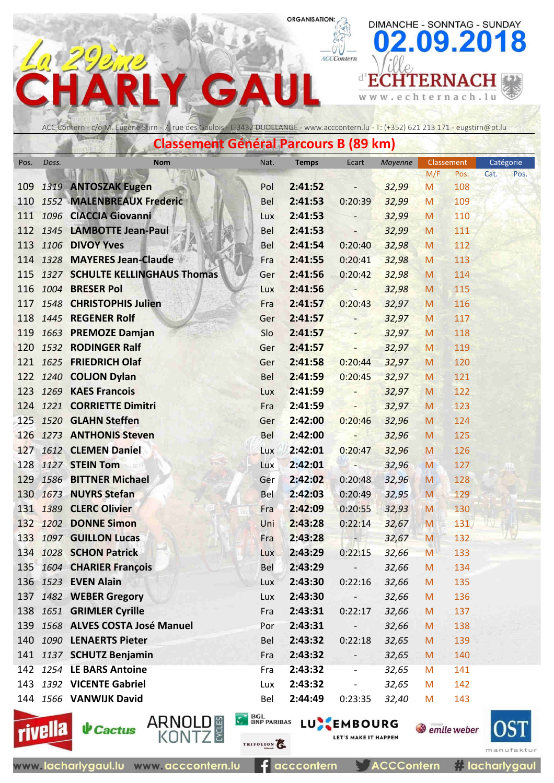ACCContern

w w w .

e

DIMANCHE - SONNTAG - SUNDAY

chternach.lu

**d'ECHTERNACH** 

09.2018

ACC Contern - c/o M. Eugène Stirn - 7, rue des Gaulois - L-3432 DUDELANGE - www.acccontern.lu - T: (+352) 621 213 171 - eugstirn@pt.lu

 $\mathbf{\Lambda}$ 

C

|      | <b>Classement Général Parcours B (89 km)</b><br>Catégorie<br>Classement |                                     |            |                     |                          |         |     |      |      |      |  |  |  |
|------|-------------------------------------------------------------------------|-------------------------------------|------------|---------------------|--------------------------|---------|-----|------|------|------|--|--|--|
| Pos. | Doss.                                                                   | <b>Nom</b>                          | Nat.       | <b>Temps</b>        | Ecart                    | Moyenne |     |      |      |      |  |  |  |
|      |                                                                         |                                     |            |                     |                          |         | M/F | Pos. | Cat. | Pos. |  |  |  |
|      |                                                                         | 109 1319 ANTOSZAK Eugen             | Pol        | 2:41:52             | $\overline{\phantom{a}}$ | 32,99   | M   | 108  |      |      |  |  |  |
|      |                                                                         | 110 1552 MALENBREAUX Frederic       | Bel        | 2:41:53             | 0:20:39                  | 32,99   | M   | 109  |      |      |  |  |  |
|      |                                                                         | 111 1096 CIACCIA Giovanni           | Lux        | 2:41:53             |                          | 32,99   | M   | 110  |      |      |  |  |  |
|      |                                                                         | 112 1345 LAMBOTTE Jean-Paul         | <b>Bel</b> | 2:41:53             | $\overline{a}$           | 32,99   | M   | 111  |      |      |  |  |  |
|      |                                                                         | 113 1106 DIVOY Yves                 | Bel        | 2:41:54             | 0:20:40                  | 32,98   | M   | 112  |      |      |  |  |  |
|      |                                                                         | 114 1328 MAYERES Jean-Claude        | Fra        | 2:41:55             | 0:20:41                  | 32,98   | M   | 113  |      |      |  |  |  |
|      |                                                                         | 115 1327 SCHULTE KELLINGHAUS Thomas | Ger        | 2:41:56             | 0:20:42                  | 32,98   | M   | 114  |      |      |  |  |  |
|      |                                                                         | 116 1004 BRESER Pol                 | <b>Lux</b> | 2:41:56             | <b>SALE</b><br>m         | 32,98   | M   | 115  |      |      |  |  |  |
|      |                                                                         | 117 1548 CHRISTOPHIS Julien         | Fra        | 2:41:57             | 0:20:43                  | 32,97   | M   | 116  |      |      |  |  |  |
|      |                                                                         | 118 1445 REGENER Rolf               | Ger        | 2:41:57             | $\overline{\phantom{0}}$ | 32,97   | M   | 117  |      |      |  |  |  |
|      |                                                                         | 119 1663 PREMOZE Damjan             | Slo        | 2:41:57             |                          | 32,97   | M   | 118  |      |      |  |  |  |
|      |                                                                         | 120 1532 RODINGER Ralf              | Ger        | 2:41:57             | $\overline{\phantom{a}}$ | 32,97   | M   | 119  |      |      |  |  |  |
|      |                                                                         | 121 1625 FRIEDRICH Olaf             | Ger        | 2:41:58             | $0:20:44$ 32,97          |         | M   | 120  |      |      |  |  |  |
|      |                                                                         | 122 1240 COLJON Dylan               | Bel        | 2:41:59             | 0:20:45                  | 32,97   | M   | 121  |      |      |  |  |  |
|      |                                                                         | 123 1269 KAES Francois              | Lux        | 2:41:59             | -                        | 32,97   | M   | 122  |      |      |  |  |  |
|      |                                                                         | 124 1221 CORRIETTE Dimitri          | Fra        | 2:41:59             | Ξ                        | 32,97   | M   | 123  |      |      |  |  |  |
|      |                                                                         | 125 1520 GLAHN Steffen              | Ger        | 2:42:00             | 0:20:46                  | 32,96   | M   | 124  |      |      |  |  |  |
|      |                                                                         | 126 1273 ANTHONIS Steven            | Bel        | 2:42:00             | $\overline{\phantom{a}}$ | 32,96   | M   | 125  |      |      |  |  |  |
|      |                                                                         | 127 1612 CLEMEN Daniel              | Lux        | 2:42:01             | 0:20:47                  | 32,96   | M   | 126  |      |      |  |  |  |
|      |                                                                         | 128 1127 STEIN Tom                  | Lux        | 2:42:01             | н,                       | 32,96   | M   | 127  |      |      |  |  |  |
|      |                                                                         | 129 1586 BITTNER Michael            | Ger        | 2:42:02             | 0:20:48                  | 32,96   | M   | 128  |      |      |  |  |  |
|      |                                                                         | 130 1673 NUYRS Stefan               | Bel        | 2:42:03             | 0:20:49                  | 32,95   | M   | 129  |      |      |  |  |  |
|      |                                                                         | 131 1389 CLERC Olivier              | Fra        | 2:42:09             | 0:20:55                  | 32,93   | M   | 130  |      |      |  |  |  |
|      |                                                                         | 132 1202 DONNE Simon                | Uni        | 2:43:28             | $0:22:14$ 32,67          |         | M   | 131  |      |      |  |  |  |
|      |                                                                         | 133 1097 GUILLON Lucas              | Fra        | 2:43:28             | ÷.                       | 32,67   | M   | 132  |      |      |  |  |  |
|      |                                                                         | 134 1028 SCHON Patrick              | Lux        | $2:43:29$ $0:22:15$ |                          | 32,66   | M   | 133  |      |      |  |  |  |
|      |                                                                         | 135 1604 CHARIER François           | Bel        | 2:43:29             | $\overline{\phantom{a}}$ | 32,66   | M   | 134  |      |      |  |  |  |
|      |                                                                         | 136 1523 EVEN Alain                 | Lux        | 2:43:30             | 0:22:16                  | 32,66   | M   | 135  |      |      |  |  |  |
| 137  |                                                                         | 1482 WEBER Gregory                  | Lux        | 2:43:30             | $\overline{\phantom{a}}$ | 32,66   | M   | 136  |      |      |  |  |  |
|      |                                                                         | 138 1651 GRIMLER Cyrille            | Fra        | 2:43:31             | 0:22:17                  | 32,66   | M   | 137  |      |      |  |  |  |
|      |                                                                         | 139 1568 ALVES COSTA José Manuel    | Por        | 2:43:31             |                          | 32,66   | M   | 138  |      |      |  |  |  |
|      |                                                                         | 140 1090 LENAERTS Pieter            | Bel        | 2:43:32             | 0:22:18                  | 32,65   | M   | 139  |      |      |  |  |  |
|      |                                                                         | 141 1137 SCHUTZ Benjamin            | Fra        | 2:43:32             |                          | 32,65   | M   | 140  |      |      |  |  |  |
|      |                                                                         | 142 1254 LE BARS Antoine            | Fra        | 2:43:32             |                          | 32,65   | M   | 141  |      |      |  |  |  |
|      |                                                                         | 143 1392 VICENTE Gabriel            | Lux        | 2:43:32             | $\overline{\phantom{0}}$ | 32,65   | M   | 142  |      |      |  |  |  |
|      |                                                                         | 144 1566 VANWIJK David              | Bel        | 2:44:49             | 0:23:35                  | 32,40   | M   | 143  |      |      |  |  |  |
|      |                                                                         |                                     |            |                     |                          |         |     |      |      |      |  |  |  |





www.lacharlygaul.lu www.acccontern.lu

acccontern

TRIFOLION<sup>2</sup>

E 3

**C BOL BNP PARIBAS LU EMBOURG S** emile weber LET'S MAKE IT HAPPEN



**ACCContern** 

*i* lacharlygaul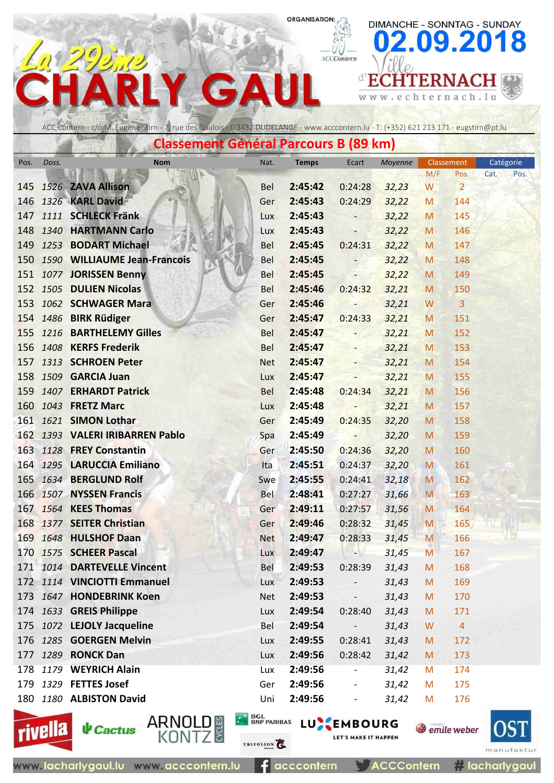ACCContern

 $\leq$  w  $\leq$  .

 $n$  (co.  $l$ )

e

DIMANCHE - SONNTAG - SUNDAY

chternach.lu

**d'ECHTERNACH** 

09.2018

#### ACC Contern - c/o M. Eugène Stirn - 7, rue des Gaulois - L-3432 DUDELANGE - www.acccontern.lu - T: (+352) 621 213 171 - eugstirn@pt.lu

 $\blacktriangle$ 

 $\sim$   $\sim$   $\sim$   $\sim$   $\sim$   $\sim$   $\sim$ 

G

**SATO** 

|      |       | Classement General Parcours D (69 Km) |            |              |                          |         |     |                |      |           |
|------|-------|---------------------------------------|------------|--------------|--------------------------|---------|-----|----------------|------|-----------|
| Pos. | Doss. | <b>Nom</b>                            | Nat.       | <b>Temps</b> | Ecart                    | Moyenne |     | Classement     |      | Catégorie |
|      |       |                                       |            |              |                          |         | M/F | Pos.           | Cat. | Pos.      |
|      |       | 145 1526 ZAVA Allison                 | <b>Bel</b> | 2:45:42      | 0:24:28                  | 32,23   | W   | $\overline{2}$ |      |           |
|      |       | 146 1326 KARL David                   | Ger        | 2:45:43      | 0:24:29                  | 32,22   | M   | 144            |      |           |
|      |       | 147 1111 SCHLECK Fränk                | Lux        | 2:45:43      |                          | 32,22   | M   | 145            |      |           |
|      |       | 148 1340 HARTMANN Carlo               | Lux        | 2:45:43      | $\overline{\phantom{0}}$ | 32,22   | M   | 146            |      |           |
|      |       | 149 1253 BODART Michael               | <b>Bel</b> | 2:45:45      | 0:24:31                  | 32,22   | M   | 147            |      |           |
| 150  |       | 1590 WILLIAUME Jean-Francois          | Bel        | 2:45:45      |                          | 32,22   | M   | 148            |      |           |
|      |       | 151 1077 JORISSEN Benny               | Bel        | 2:45:45      | $\overline{\phantom{a}}$ | 32,22   | M   | 149            |      |           |
|      |       | 152 1505 DULIEN Nicolas               | <b>Bel</b> | 2:45:46      | 0:24:32                  | 32,21   | M   | 150            |      |           |
| 153  |       | 1062 SCHWAGER Mara                    | Ger        | 2:45:46      | ÷                        | 32,21   | W   | $\overline{3}$ |      |           |
|      |       | 154 1486 BIRK Rüdiger                 | Ger        | 2:45:47      | 0:24:33                  | 32,21   | M   | 151            |      |           |
|      |       | 155 1216 BARTHELEMY Gilles            | Bel        | 2:45:47      | н.,                      | 32,21   | M   | 152            |      |           |
|      |       | 156 1408 KERFS Frederik               | <b>Bel</b> | 2:45:47      | $\overline{\phantom{0}}$ | 32,21   | M   | 153            |      |           |
|      |       | 157 1313 SCHROEN Peter                | <b>Net</b> | 2:45:47      | Ξ.                       | 32,21   | M   | 154            |      |           |
|      |       | 158 1509 GARCIA Juan                  | Lux        | 2:45:47      | $\overline{\phantom{a}}$ | 32,21   | M   | 155            |      |           |
|      |       | 159 1407 ERHARDT Patrick              | <b>Bel</b> | 2:45:48      | 0:24:34                  | 32,21   | M   | 156            |      |           |
|      |       | 160 1043 FRETZ Marc                   | Lux        | 2:45:48      |                          | 32,21   | M   | 157            |      |           |
|      |       | 161 1621 SIMON Lothar                 | Ger        | 2:45:49      | 0:24:35                  | 32,20   | M   | 158            |      |           |
|      |       | 162 1393 VALERI IRIBARREN Pablo       | Spa        | 2:45:49      | $\overline{\phantom{a}}$ | 32,20   | M   | 159            |      |           |
|      |       | 163 1128 FREY Constantin              | Ger        | 2:45:50      | 0:24:36                  | 32,20   | M   | 160            |      |           |
|      |       | 164 1295 LARUCCIA Emiliano            | Ita        | 2:45:51      | 0:24:37                  | 32,20   | M   | 161            |      |           |
|      |       | 165 1634 BERGLUND Rolf                | Swe        | 2:45:55      | 0:24:41                  | 32,18   | M   | 162            |      |           |
|      |       | 166 1507 NYSSEN Francis               | Bel        | 2:48:41      | 0:27:27                  | 31,66   | M   | 163            |      |           |
|      |       | 167 1564 KEES Thomas                  | Ger        | 2:49:11      | 0:27:57                  | 31,56   | M   | 164            |      |           |
|      |       | 168 1377 SEITER Christian             | Ger        | 2:49:46      | 0:28:32                  | 31,45   | M   | 165            |      |           |
|      |       | 169 1648 HULSHOF Daan                 | <b>Net</b> | 2:49:47      | 0:28:33                  | 31,45   | M   | 166            |      |           |
|      |       | 170 1575 SCHEER Pascal                | Lux        | 2:49:47      | -17                      | 31,45   | M   | 167            |      |           |
|      |       | 171 1014 DARTEVELLE Vincent           | Bel        | 2:49:53      | 0:28:39                  | 31,43   | M   | 168            |      |           |
|      |       | 172 1114 VINCIOTTI Emmanuel           | <b>Lux</b> | 2:49:53      | $\overline{\phantom{a}}$ | 31,43   | M   | 169            |      |           |
|      |       | 173 1647 HONDEBRINK Koen              | <b>Net</b> | 2:49:53      | $\overline{\phantom{0}}$ | 31,43   | M   | 170            |      |           |
|      |       | 174 1633 GREIS Philippe               | Lux        | 2:49:54      | 0:28:40                  | 31,43   | M   | 171            |      |           |
|      |       | 175 1072 LEJOLY Jacqueline            | Bel        | 2:49:54      | $\qquad \qquad -$        | 31,43   | W   | $\overline{4}$ |      |           |
|      |       | 176 1285 GOERGEN Melvin               | Lux        | 2:49:55      | 0:28:41                  | 31,43   | M   | 172            |      |           |
| 177  |       | 1289 RONCK Dan                        | Lux        | 2:49:56      | 0:28:42                  | 31,42   | M   | 173            |      |           |
|      |       | 178 1179 WEYRICH Alain                | Lux        | 2:49:56      |                          | 31,42   | M   | 174            |      |           |
|      |       | 179 1329 FETTES Josef                 | Ger        | 2:49:56      |                          | 31,42   | M   | 175            |      |           |
|      |       | 180 1180 ALBISTON David               | Uni        | 2:49:56      | $\overline{\phantom{a}}$ | 31,42   | M   | 176            |      |           |





**↓** Cactus

ARNOLD #<br>KONTZ

TRIFOLION<sup>2</sup>

**C BOL BNP PARIBAS LU EMBOURG** 

**ACCContern** 

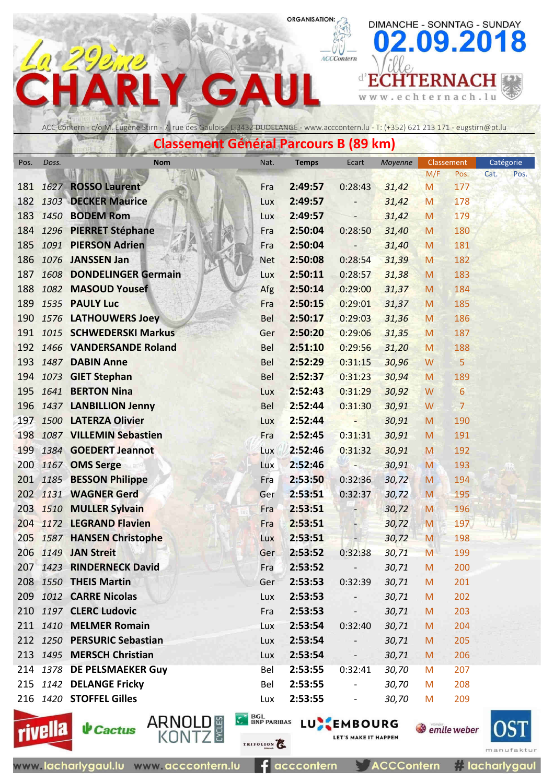ACCContern

 $\leq$  w  $\leq$  .

 $n$  *loo*  $l$ .

e

DIMANCHE - SONNTAG - SUNDAY

chternach.lu

**d'ECHTERNACH** 

09.2018



 $\blacktriangle$ 

G

 $\sim$   $\sim$   $\sim$   $\sim$ 

**MARCHAN** 

**SATO** 

|      |       | Classement General Parcours B (69 Km) |            |              |                          |         |     |                 |           |      |
|------|-------|---------------------------------------|------------|--------------|--------------------------|---------|-----|-----------------|-----------|------|
| Pos. | Doss. | <b>Nom</b>                            | Nat.       | <b>Temps</b> | Ecart                    | Moyenne |     | Classement      | Catégorie |      |
|      |       |                                       |            |              |                          |         | M/F | Pos.            | Cat.      | Pos. |
|      |       | 181 1627 ROSSO Laurent                | Fra        | 2:49:57      | 0:28:43                  | 31,42   | M   | 177             |           |      |
|      |       | 182 1303 DECKER Maurice               | Lux        | 2:49:57      |                          | 31,42   | M   | 178             |           |      |
| 183  |       | <b>1450 BODEM Rom</b>                 | Lux        | 2:49:57      |                          | 31,42   | M   | 179             |           |      |
| 184  |       | 1296 PIERRET Stéphane                 | Fra        | 2:50:04      | 0:28:50                  | 31,40   | M   | 180             |           |      |
| 185  |       | 1091 PIERSON Adrien                   | Fra        | 2:50:04      |                          | 31,40   | M   | 181             |           |      |
| 186  |       | 1076 JANSSEN Jan                      | <b>Net</b> | 2:50:08      | 0:28:54                  | 31,39   | M   | 182             |           |      |
| 187  |       | 1608 DONDELINGER Germain              | Lux        | 2:50:11      | 0:28:57                  | 31,38   | M   | 183             |           |      |
| 188  |       | 1082 MASOUD Yousef                    | Afg        | 2:50:14      | 0:29:00                  | 31,37   | M   | 184             |           |      |
| 189  |       | 1535 PAULY Luc                        | Fra        | 2:50:15      | 0:29:01                  | 31,37   | M   | 185             |           |      |
| 190  |       | 1576 LATHOUWERS Joey                  | <b>Bel</b> | 2:50:17      | 0:29:03                  | 31,36   | M   | 186             |           |      |
|      |       | 191 1015 SCHWEDERSKI Markus           | Ger        | 2:50:20      | 0:29:06                  | 31,35   | M   | 187             |           |      |
| 192  |       | 1466 VANDERSANDE Roland               | <b>Bel</b> | 2:51:10      | 0:29:56                  | 31,20   | M   | 188             |           |      |
| 193  |       | 1487 DABIN Anne                       | Bel        | 2:52:29      | 0:31:15                  | 30,96   | W   | 5               |           |      |
|      |       | 194 1073 GIET Stephan                 | Bel        | 2:52:37      | 0:31:23                  | 30,94   | M   | 189             |           |      |
|      |       | 195 1641 BERTON Nina                  | Lux        | 2:52:43      | 0:31:29                  | 30,92   | W   | $6\phantom{1}6$ |           |      |
| 196  |       | 1437 LANBILLION Jenny                 | <b>Bel</b> | 2:52:44      | 0:31:30                  | 30,91   | W   | $\overline{7}$  |           |      |
|      |       | 197 1500 LATERZA Olivier              | Lux        | 2:52:44      | Ξ                        | 30,91   | M   | 190             |           |      |
| 198  |       | 1087 VILLEMIN Sebastien               | Fra        | 2:52:45      | 0:31:31                  | 30,91   | M   | 191             |           |      |
| 199  |       | 1384 GOEDERT Jeannot                  | Lux        | 2:52:46      | 0:31:32                  | 30,91   | M   | 192             |           |      |
|      |       | 200 1167 OMS Serge                    | Lux        | 2:52:46      | $\overline{\phantom{a}}$ | 30,91   | M   | 193             |           |      |
|      |       | 201 1185 BESSON Philippe              | Fra        | 2:53:50      | 0:32:36                  | 30,72   | M   | 194             |           |      |
|      |       | 202 1131 WAGNER Gerd                  | Ger        | 2:53:51      | 0:32:37                  | 30,72   | M   | 195             |           |      |
|      |       | 203 1510 MULLER Sylvain               | Fra        | 2:53:51      |                          | 30,72   | M   | 196             |           |      |
|      |       | 204 1172 LEGRAND Flavien              | Fra        | 2:53:51      |                          | 30,72   | M   | 197             |           |      |
| 205  |       | 1587 HANSEN Christophe                | Lux        | 2:53:51      | $\blacksquare$           | 30,72   | M   | 198             |           |      |
|      |       | 206 1149 JAN Streit                   | Ger        | 2:53:52      | 0:32:38                  | 30,71   | M   | 199             |           |      |
|      |       | 207 1423 RINDERNECK David             | Fra        | 2:53:52      |                          | 30,71   | M   | 200             |           |      |
|      |       | 208 1550 THEIS Martin                 | Ger        | 2:53:53      | 0:32:39                  | 30,71   | M   | 201             |           |      |
|      |       | 209 1012 CARRE Nicolas                | Lux        | 2:53:53      |                          | 30,71   | M   | 202             |           |      |
|      |       | 210 1197 CLERC Ludovic                | Fra        | 2:53:53      | $\overline{\phantom{a}}$ | 30,71   | M   | 203             |           |      |
|      |       | 211 1410 MELMER Romain                | Lux        | 2:53:54      | 0:32:40                  | 30,71   | M   | 204             |           |      |
|      |       | 212 1250 PERSURIC Sebastian           | Lux        | 2:53:54      |                          | 30,71   | M   | 205             |           |      |
|      |       | 213 1495 MERSCH Christian             | Lux        | 2:53:54      | $\overline{\phantom{a}}$ | 30,71   | M   | 206             |           |      |
|      |       | 214 1378 DE PELSMAEKER Guy            | Bel        | 2:53:55      | 0:32:41                  | 30,70   | M   | 207             |           |      |
|      |       | 215 1142 DELANGE Fricky               | Bel        | 2:53:55      | $\overline{\phantom{a}}$ | 30,70   | M   | 208             |           |      |
|      |       | 216 1420 STOFFEL Gilles               | Lux        | 2:53:55      | $\overline{\phantom{a}}$ | 30,70   | M   | 209             |           |      |



TRIFOLION<sup>2</sup>

**C BOL BNP PARIBAS LU EMBOURG** LET'S MAKE IT HAPPEN



**ACCContern** 

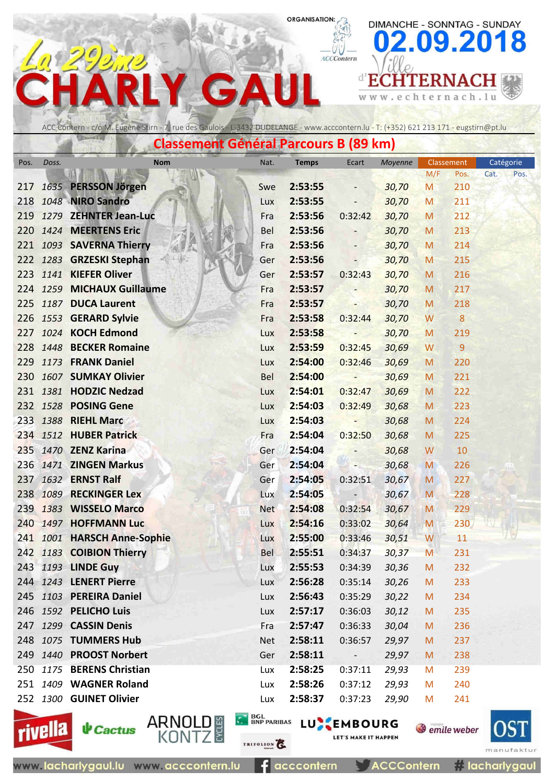ACCContern

DIMANCHE - SONNTAG - SUNDAY

09.2018

#### **d'ECHTERNACH** G  $\Delta$ c h w w w . e  $\mathbf t$ ernach.lu

**Classement Général Parcours B (89 km)** ACC Contern - c/o M. Eugène Stirn - 7, rue des Gaulois - L-3432 DUDELANGE - www.acccontern.lu - T: (+352) 621 213 171 - eugstirn@pt.lu

| Pos. | Doss. | <b>Nom</b>                  | Nat.       | <b>Temps</b> | Ecart                    | Moyenne | M/F | Classement<br>Pos. | Catégorie<br>Cat.<br>Pos. |  |
|------|-------|-----------------------------|------------|--------------|--------------------------|---------|-----|--------------------|---------------------------|--|
| 217  |       | 1635 PERSSON Jörgen         | Swe        | 2:53:55      |                          | 30,70   | M   | 210                |                           |  |
| 218  |       | 1048 NIRO Sandro            | Lux        | 2:53:55      |                          | 30,70   | M   | 211                |                           |  |
| 219  |       | 1279 ZEHNTER Jean-Luc       | Fra        | 2:53:56      | 0:32:42                  | 30,70   | M   | 212                |                           |  |
| 220  |       | 1424 MEERTENS Eric          | <b>Bel</b> | 2:53:56      |                          | 30,70   | M   | 213                |                           |  |
|      |       | 221 1093 SAVERNA Thierry    | Fra        | 2:53:56      |                          | 30,70   | M   | 214                |                           |  |
|      |       | 222 1283 GRZESKI Stephan    | Ger        | 2:53:56      |                          | 30,70   | M   | 215                |                           |  |
| 223  |       | 1141 KIEFER Oliver          | Ger        | 2:53:57      | 0:32:43                  | 30,70   | M   | 216                |                           |  |
| 224  |       | 1259 MICHAUX Guillaume      | Fra        | 2:53:57      |                          | 30,70   | M   | 217                |                           |  |
| 225  |       | 1187 DUCA Laurent           | Fra        | 2:53:57      |                          | 30,70   | M   | 218                |                           |  |
| 226  |       | 1553 GERARD Sylvie          | Fra        | 2:53:58      | 0:32:44                  | 30,70   | W   | 8                  |                           |  |
| 227  |       | 1024 KOCH Edmond            | Lux        | 2:53:58      |                          | 30,70   | M   | 219                |                           |  |
| 228  |       | 1448 BECKER Romaine         | Lux        | 2:53:59      | 0:32:45                  | 30,69   | W   | $\overline{9}$     |                           |  |
| 229  |       | 1173 FRANK Daniel           | Lux        | 2:54:00      | 0:32:46                  | 30,69   | M   | 220                |                           |  |
| 230  |       | 1607 SUMKAY Olivier         | <b>Bel</b> | 2:54:00      | L,                       | 30,69   | M   | 221                |                           |  |
| 231  |       | 1381 HODZIC Nedzad          | <b>Lux</b> | 2:54:01      | 0:32:47                  | 30,69   | M   | 222                |                           |  |
|      |       | 232 1528 POSING Gene        | Lux        | 2:54:03      | 0:32:49                  | 30,68   | M   | 223                |                           |  |
| 233  |       | 1388 RIEHL Marc             | Lux        | 2:54:03      |                          | 30,68   | M   | 224                |                           |  |
|      |       | 234 1512 HUBER Patrick      | Fra        | 2:54:04      | 0:32:50                  | 30,68   | M   | 225                |                           |  |
| 235  |       | 1470 ZENZ Karina            | Ger        | 2:54:04      |                          | 30,68   | W   | 10                 |                           |  |
|      |       | 236 1471 ZINGEN Markus      | Ger        | 2:54:04      |                          | 30,68   | M   | 226                |                           |  |
| 237  |       | 1632 ERNST Ralf             | Ger        | 2:54:05      | 0:32:51                  | 30,67   | M   | 227                |                           |  |
| 238  |       | 1089 RECKINGER Lex          | Lux        | 2:54:05      |                          | 30,67   | M   | 228                |                           |  |
| 239  |       | 1383 WISSELO Marco          | <b>Net</b> | 2:54:08      | 0:32:54                  | 30,67   | M   | 229                |                           |  |
| 240  |       | 1497 HOFFMANN Luc           | Lux        | 2:54:16      | 0:33:02                  | 30,64   | M   | 230                |                           |  |
|      |       | 241 1001 HARSCH Anne-Sophie | <b>Lux</b> | 2:55:00      | 0:33:46                  | 30,51   | W   | 11                 |                           |  |
|      |       | 242 1183 COIBION Thierry    | <b>Bel</b> | 2:55:51      | 0:34:37                  | 30,37   | M   | 231                |                           |  |
|      |       | 243 1193 LINDE Guy          | Lux        | 2:55:53      | 0:34:39                  | 30,36   | M   | 232                |                           |  |
|      |       | 244 1243 LENERT Pierre      | Lux        | 2:56:28      | 0:35:14                  | 30,26   | M   | 233                |                           |  |
|      |       | 245 1103 PEREIRA Daniel     | Lux        | 2:56:43      | 0:35:29                  | 30,22   | M   | 234                |                           |  |
|      |       | 246 1592 PELICHO Luis       | Lux        | 2:57:17      | 0:36:03                  | 30,12   | M   | 235                |                           |  |
|      |       | 247 1299 CASSIN Denis       | Fra        | 2:57:47      | 0:36:33                  | 30,04   | M   | 236                |                           |  |
|      |       | 248 1075 TUMMERS Hub        | <b>Net</b> | 2:58:11      | 0:36:57                  | 29,97   | M   | 237                |                           |  |
|      |       | 249 1440 PROOST Norbert     | Ger        | 2:58:11      | $\overline{\phantom{a}}$ | 29,97   | M   | 238                |                           |  |
|      |       | 250 1175 BERENS Christian   | Lux        | 2:58:25      | 0:37:11                  | 29,93   | M   | 239                |                           |  |
|      |       | 251 1409 WAGNER Roland      | Lux        | 2:58:26      | 0:37:12                  | 29,93   | M   | 240                |                           |  |
|      |       | 252 1300 GUINET Olivier     | Lux        | 2:58:37      | 0:37:23                  | 29,90   | M   | 241                |                           |  |



**↓** Cactus

ARNOLD<sup>E</sup>

TRIFOLION

BGL BNP PARIBAS LUNEMBOURG

**ACCContern** 

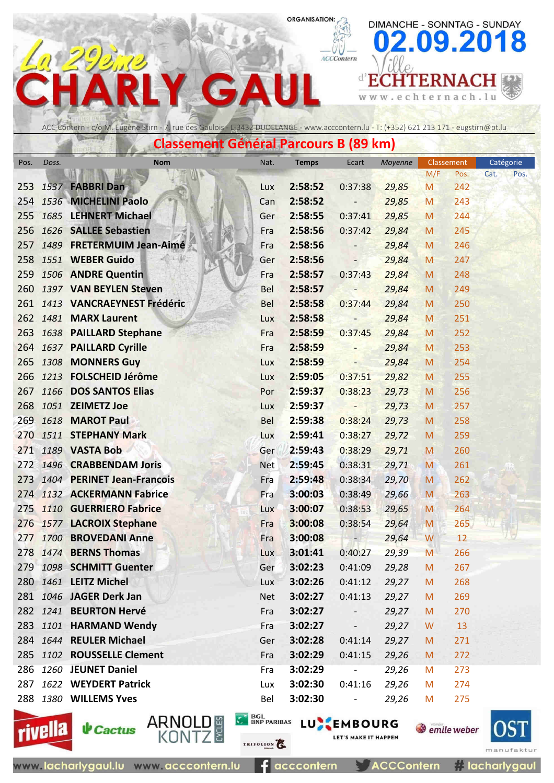ACCContern

 $\leq$  w  $\leq$  .

DIMANCHE - SONNTAG - SUNDAY

echternach.lu

**d'ECHTERNACH** 

09.2018

#### ACC Contern - c/o M. Eugène Stirn - 7, rue des Gaulois - L-3432 DUDELANGE - www.acccontern.lu - T: (+352) 621 213 171 - eugstirn@pt.lu

 $\blacktriangle$ 

G

|      |       | Classement General Parcours B (89 km) |            |              |                          |         |     |            |           |      |
|------|-------|---------------------------------------|------------|--------------|--------------------------|---------|-----|------------|-----------|------|
| Pos. | Doss. | <b>Nom</b>                            | Nat.       | <b>Temps</b> | Ecart                    | Moyenne |     | Classement | Catégorie |      |
|      |       |                                       |            |              |                          |         | M/F | Pos.       | Cat.      | Pos. |
| 253  |       | 1537 FABBRI Dan                       | Lux        | 2:58:52      | 0:37:38                  | 29,85   | M   | 242        |           |      |
| 254  |       | 1536 MICHELINI Paolo                  | Can        | 2:58:52      | $\overline{\phantom{0}}$ | 29,85   | M   | 243        |           |      |
| 255  |       | 1685 LEHNERT Michael                  | Ger        | 2:58:55      | 0:37:41                  | 29,85   | M   | 244        |           |      |
| 256  |       | 1626 SALLEE Sebastien                 | Fra        | 2:58:56      | 0:37:42                  | 29,84   | M   | 245        |           |      |
| 257  |       | 1489 FRETERMUIM Jean-Aimé             | Fra        | 2:58:56      | $\overline{\phantom{a}}$ | 29,84   | M   | 246        |           |      |
| 258  |       | 1551 WEBER Guido                      | Ger        | 2:58:56      | $\overline{\phantom{0}}$ | 29,84   | M   | 247        |           |      |
| 259  |       | 1506 ANDRE Quentin                    | Fra        | 2:58:57      | 0:37:43                  | 29,84   | M   | 248        |           |      |
|      |       | 260 1397 VAN BEYLEN Steven            | <b>Bel</b> | 2:58:57      | ÷                        | 29,84   | M   | 249        |           |      |
|      |       | 261 1413 VANCRAEYNEST Frédéric        | Bel        | 2:58:58      | 0:37:44                  | 29,84   | M   | 250        |           |      |
|      |       | 262 1481 MARX Laurent                 | Lux        | 2:58:58      | н,                       | 29,84   | M   | 251        |           |      |
| 263  |       | 1638 PAILLARD Stephane                | Fra        | 2:58:59      | 0:37:45                  | 29,84   | M   | 252        |           |      |
| 264  |       | 1637 PAILLARD Cyrille                 | Fra        | 2:58:59      | $\overline{\phantom{0}}$ | 29,84   | M   | 253        |           |      |
| 265  |       | 1308 MONNERS Guy                      | Lux        | 2:58:59      | 4                        | 29,84   | M   | 254        |           |      |
|      |       | 266 1213 FOLSCHEID Jérôme             | Lux        | 2:59:05      | 0:37:51                  | 29,82   | M   | 255        |           |      |
| 267  |       | 1166 DOS SANTOS Elias                 | Por        | 2:59:37      | 0:38:23                  | 29,73   | M   | 256        |           |      |
| 268  |       | 1051 ZEIMETZ Joe                      | Lux        | 2:59:37      | -                        | 29,73   | M   | 257        |           |      |
| 269  |       | 1618 MAROT Paul                       | Bel        | 2:59:38      | 0:38:24                  | 29,73   | M   | 258        |           |      |
| 270  |       | 1511 STEPHANY Mark                    | Lux        | 2:59:41      | 0:38:27                  | 29,72   | M   | 259        |           |      |
| 271  |       | 1189 VASTA Bob                        | Ger        | 2:59:43      | 0:38:29                  | 29,71   | M   | 260        |           |      |
| 272  |       | 1496 CRABBENDAM Joris                 | <b>Net</b> | 2:59:45      | 0:38:31                  | 29,71   | M   | 261        |           |      |
|      |       | 273 1404 PERINET Jean-Francois        | Fra        | 2:59:48      | 0:38:34                  | 29,70   | M   | 262        |           |      |
| 274  |       | 1132 ACKERMANN Fabrice                | Fra        | 3:00:03      | 0:38:49                  | 29,66   | M   | 263        |           |      |
|      |       | 275 1110 GUERRIERO Fabrice            | Lux        | 3:00:07      | 0:38:53                  | 29,65   | M   | 264        |           |      |
|      |       | 276 1577 LACROIX Stephane             | Fra        | 3:00:08      | 0:38:54                  | 29,64   | M   | 265        |           |      |
| 277  |       | 1700 BROVEDANI Anne                   | Fra        | 3:00:08      |                          | 29,64   | W   | 12         |           |      |
|      |       | 278 1474 BERNS Thomas                 | <b>Lux</b> | 3:01:41      | 0:40:27                  | 29,39   | M   | 266        |           |      |
|      |       | 279 1098 SCHMITT Guenter              | Ger        | 3:02:23      | 0:41:09                  | 29,28   | M   | 267        |           |      |
|      |       | 280 1461 LEITZ Michel                 | <b>Lux</b> | 3:02:26      | 0:41:12                  | 29,27   | M   | 268        |           |      |
|      |       | 281 1046 JAGER Derk Jan               | <b>Net</b> | 3:02:27      | 0:41:13                  | 29,27   | M   | 269        |           |      |
|      |       | 282 1241 BEURTON Hervé                | Fra        | 3:02:27      |                          | 29,27   | M   | 270        |           |      |
|      |       | 283 1101 HARMAND Wendy                | Fra        | 3:02:27      | $\overline{\phantom{a}}$ | 29,27   | W   | 13         |           |      |
|      |       | 284 1644 REULER Michael               | Ger        | 3:02:28      | 0:41:14                  | 29,27   | M   | 271        |           |      |
|      |       | 285 1102 ROUSSELLE Clement            | Fra        | 3:02:29      | 0:41:15                  | 29,26   | M   | 272        |           |      |
|      |       | 286 1260 JEUNET Daniel                | Fra        | 3:02:29      | $\overline{\phantom{a}}$ | 29,26   | M   | 273        |           |      |
|      |       | 287 1622 WEYDERT Patrick              | Lux        | 3:02:30      | 0:41:16                  | 29,26   | M   | 274        |           |      |
|      |       | 288 1380 WILLEMS Yves                 | Bel        | 3:02:30      | $\overline{\phantom{a}}$ | 29,26   | M   | 275        |           |      |
|      |       |                                       |            |              |                          |         |     |            |           |      |



**↓** Cactus

ARNOLD #<br>KONTZ

TRIFOLION<sup>2</sup>

**C BOL BNP PARIBAS LU EMBOURG** 

**ACCContern** 

LET'S MAKE IT HAPPEN

**Tacharlygaul**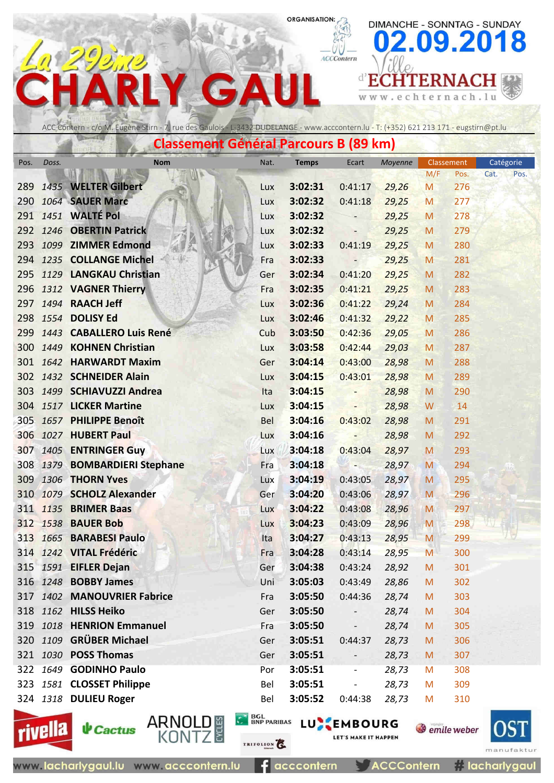ACCContern

 $\leq$  w  $\leq$  .

 $\sqrt{2}$ 

DIMANCHE - SONNTAG - SUNDAY

echternach.lu

**d'ECHTERNACH** 

09.2018

## ACC Contern - c/o M. Eugène Stirn - 7, rue des Gaulois - L-3432 DUDELANGE - www.acccontern.lu - T: (+352) 621 213 171 - eugstirn@pt.lu

 $\blacktriangle$ 

G

|      |          | Classement General Parcours B (89 km) |      |              |                          |         |     |            |           |      |
|------|----------|---------------------------------------|------|--------------|--------------------------|---------|-----|------------|-----------|------|
| Pos. | Doss.    | <b>Nom</b>                            | Nat. | <b>Temps</b> | Ecart                    | Moyenne |     | Classement | Catégorie |      |
|      |          |                                       |      |              |                          |         | M/F | Pos.       | Cat.      | Pos. |
| 289  |          | 1435 WELTER Gilbert                   | Lux  | 3:02:31      | 0:41:17                  | 29,26   | M   | 276        |           |      |
| 290  |          | 1064 SAUER Marc                       | Lux  | 3:02:32      | 0:41:18                  | 29,25   | M   | 277        |           |      |
|      |          | 291 1451 WALTÉ Pol                    | Lux  | 3:02:32      |                          | 29,25   | M   | 278        |           |      |
|      |          | 292 1246 OBERTIN Patrick              | Lux  | 3:02:32      | $\overline{\phantom{a}}$ | 29,25   | M   | 279        |           |      |
|      |          | 293 1099 ZIMMER Edmond                | Lux  | 3:02:33      | 0:41:19                  | 29,25   | M   | 280        |           |      |
|      |          | 294 1235 COLLANGE Michel              | Fra  | 3:02:33      | $\overline{\phantom{0}}$ | 29,25   | M   | 281        |           |      |
|      |          | 295 1129 LANGKAU Christian            | Ger  | 3:02:34      | 0:41:20                  | 29,25   | M   | 282        |           |      |
|      |          | 296 1312 VAGNER Thierry               | Fra  | 3:02:35      | 0:41:21                  | 29,25   | M   | 283        |           |      |
|      |          | 297 1494 RAACH Jeff                   | Lux  | 3:02:36      | 0:41:22                  | 29,24   | M   | 284        |           |      |
|      |          | 298 1554 DOLISY Ed                    | Lux  | 3:02:46      | 0:41:32                  | 29,22   | M   | 285        |           |      |
|      |          | 299 1443 CABALLERO Luis René          | Cub  | 3:03:50      | 0:42:36                  | 29,05   | M   | 286        |           |      |
| 300  |          | 1449 KOHNEN Christian                 | Lux  | 3:03:58      | 0:42:44                  | 29,03   | M   | 287        |           |      |
|      |          | 301 1642 HARWARDT Maxim               | Ger  | 3:04:14      | 0:43:00                  | 28,98   | M   | 288        |           |      |
|      |          | 302 1432 SCHNEIDER Alain              | Lux  | 3:04:15      | 0:43:01                  | 28,98   | M   | 289        |           |      |
|      |          | 303 1499 SCHIAVUZZI Andrea            | Ita  | 3:04:15      | $-$                      | 28,98   | M   | 290        |           |      |
|      |          | 304 1517 LICKER Martine               | Lux  | 3:04:15      |                          | 28,98   | W   | 14         |           |      |
|      |          | 305 1657 PHILIPPE Benoît              | Bel  | 3:04:16      | 0:43:02                  | 28,98   | M   | 291        |           |      |
|      |          | 306 1027 HUBERT Paul                  | Lux  | 3:04:16      | $\overline{\phantom{a}}$ | 28,98   | M   | 292        |           |      |
|      |          | 307 1405 ENTRINGER Guy                | Lux  | 3:04:18      | 0:43:04                  | 28,97   | M   | 293        |           |      |
|      |          | 308 1379 BOMBARDIERI Stephane         | Fra  | 3:04:18      | <b>TAL</b>               | 28,97   | M   | 294        |           |      |
|      |          | 309 1306 THORN Yves                   | Lux  | 3:04:19      | 0:43:05                  | 28,97   | M   | 295        |           |      |
|      |          | 310 1079 SCHOLZ Alexander             | Ger  | 3:04:20      | 0:43:06                  | 28,97   | M   | 296        |           |      |
|      |          | 311 1135 BRIMER Baas                  | Lux  | 3:04:22      | 0:43:08                  | 28,96   | M   | 297        |           |      |
|      |          | 312 1538 BAUER Bob                    | Lux  | 3:04:23      | 0:43:09                  | 28,96   | M   | 298        |           |      |
|      |          | 313 1665 BARABESI Paulo               | Ita  | 3:04:27      | 0:43:13                  | 28,95   | M   | 299        |           |      |
|      |          | 314 1242 VITAL Frédéric               | Fra  | 3:04:28      | 0:43:14                  | 28,95   | M   | 300        |           |      |
|      |          | 315 1591 EIFLER Dejan                 | Ger  | 3:04:38      | 0:43:24                  | 28,92   | M   | 301        |           |      |
|      |          | 316 1248 <b>BOBBY James</b>           | Uni  | 3:05:03      | 0:43:49                  | 28,86   | M   | 302        |           |      |
|      | 317 1402 | <b>MANOUVRIER Fabrice</b>             | Fra  | 3:05:50      | 0:44:36                  | 28,74   | M   | 303        |           |      |
|      |          | 318 1162 HILSS Heiko                  | Ger  | 3:05:50      |                          | 28,74   | M   | 304        |           |      |
|      |          | 319 1018 HENRION Emmanuel             | Fra  | 3:05:50      |                          | 28,74   | M   | 305        |           |      |
|      |          | 320 1109 GRÜBER Michael               | Ger  | 3:05:51      | 0:44:37                  | 28,73   | M   | 306        |           |      |
|      |          | 321 1030 POSS Thomas                  | Ger  | 3:05:51      |                          | 28,73   | M   | 307        |           |      |
|      |          | 322 1649 GODINHO Paulo                | Por  | 3:05:51      |                          | 28,73   | M   | 308        |           |      |
|      |          | 323 1581 CLOSSET Philippe             | Bel  | 3:05:51      |                          | 28,73   | M   | 309        |           |      |
|      |          | 324 1318 DULIEU Roger                 | Bel  | 3:05:52      | 0:44:38                  | 28,73   | M   | 310        |           |      |
|      |          |                                       |      |              |                          |         |     |            |           |      |



**↓** Cactus

ARNOLD #<br>KONTZ

acccontern E 3

**ACCContern** 

**S** emile weber



**C BOL BNP PARIBAS LU EMBOURG** LET'S MAKE IT HAPPEN TRIFOLION<sup>2</sup>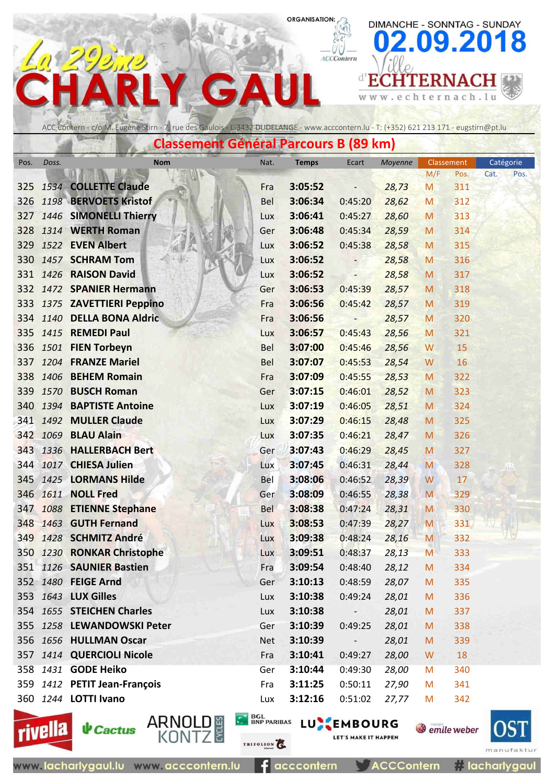ACCContern

DIMANCHE - SONNTAG - SUNDAY

**d'ECHTERNACH** 

cht

e

w w w .

09.2018

ernach.lu



 $\Delta$ 

G

|            |       | Chassement Ocheran arouns D (05 Km)          |            |                    |                          |                |           |            |           |      |
|------------|-------|----------------------------------------------|------------|--------------------|--------------------------|----------------|-----------|------------|-----------|------|
| Pos.       | Doss. | <b>Nom</b>                                   | Nat.       | <b>Temps</b>       | Ecart                    | Moyenne        |           | Classement | Catégorie |      |
|            |       |                                              |            |                    |                          |                | M/F       | Pos.       | Cat.      | Pos. |
| 325        |       | 1534 COLLETTE Claude                         | Fra        | 3:05:52            | -                        | 28,73          | M         | 311        |           |      |
| 326        |       | 1198 BERVOETS Kristof                        | Bel        | 3:06:34            | 0:45:20                  | 28,62          | M         | 312        |           |      |
| 327        |       | 1446 SIMONELLI Thierry                       | Lux        | 3:06:41            | 0:45:27                  | 28,60          | M         | 313        |           |      |
| 328        |       | 1314 WERTH Roman                             | Ger        | 3:06:48            | 0:45:34                  | 28,59          | M         | 314        |           |      |
| 329        |       | 1522 EVEN Albert                             | Lux        | 3:06:52            | 0:45:38                  | 28,58          | M         | 315        |           |      |
| 330        |       | 1457 SCHRAM Tom                              | Lux        | 3:06:52            | -                        | 28,58          | M         | 316        |           |      |
| 331        |       | 1426 RAISON David                            | Lux        | 3:06:52            | $\overline{\phantom{a}}$ | 28,58          | M         | 317        |           |      |
| 332        |       | 1472 SPANIER Hermann                         | Ger        | 3:06:53            | 0:45:39                  | 28,57          | M         | 318        |           |      |
|            |       | 333 1375 ZAVETTIERI Peppino                  | Fra        | 3:06:56            | 0:45:42                  | 28,57          | M         | 319        |           |      |
| 334        |       | 1140 DELLA BONA Aldric                       | Fra        | 3:06:56            |                          | 28,57          | M         | 320        |           |      |
| 335        |       | 1415 REMEDI Paul                             | Lux        | 3:06:57            | 0:45:43                  | 28,56          | M         | 321        |           |      |
| 336        |       | 1501 FIEN Torbeyn                            | <b>Bel</b> | 3:07:00            | 0:45:46                  | 28,56          | W         | 15         |           |      |
| 337        |       | 1204 FRANZE Mariel                           | <b>Bel</b> | 3:07:07            | 0:45:53                  | 28,54          | W         | 16         |           |      |
| 338        |       | 1406 BEHEM Romain                            | Fra        | 3:07:09            | 0:45:55                  | 28,53          | M         | 322        |           |      |
| 339        |       | 1570 BUSCH Roman                             | Ger        | 3:07:15            | 0:46:01                  | 28,52          | M         | 323        |           |      |
| 340        |       | 1394 BAPTISTE Antoine                        | Lux        | 3:07:19            | 0:46:05                  | 28,51          | M         | 324        |           |      |
| 341        |       | 1492 MULLER Claude                           | Lux        | 3:07:29            | 0:46:15                  | 28,48          | M         | 325        |           |      |
|            |       | 342 1069 BLAU Alain                          | Lux        | 3:07:35            | 0:46:21                  | 28,47          | M         | 326        |           |      |
| 343        |       | 1336 HALLERBACH Bert                         | Ger        | 3:07:43            | 0:46:29                  | 28,45          | M         | 327        |           |      |
| 344        |       | 1017 CHIESA Julien                           | Lux        | 3:07:45            | 0:46:31                  | 28,44          | M         | 328        |           |      |
| 345        |       | 1425 LORMANS Hilde                           | Bel        | 3:08:06            | 0:46:52                  | 28,39          | W         | 17         |           |      |
| 346        |       | <b>1611 NOLL Fred</b>                        | Ger        | 3:08:09            | 0:46:55                  | 28,38          | M         | 329        |           |      |
| 347        |       | 1088 ETIENNE Stephane<br>1463 GUTH Fernand   | <b>Bel</b> | 3:08:38            | 0:47:24                  | 28,31          | M         | 330        |           |      |
| 348        |       |                                              | Lux        | 3:08:53<br>3:09:38 | 0:47:39                  | 28,27          | ${\sf M}$ | 331        |           |      |
| 349<br>350 |       | 1428 SCHMITZ André<br>1230 RONKAR Christophe | Lux        | 3:09:51            | 0:48:24<br>0:48:37       | 28,16          | M         | 332<br>333 |           |      |
|            |       | 351 1126 SAUNIER Bastien                     | Lux<br>Fra | 3:09:54            | 0:48:40                  | 28,13<br>28,12 | M         | 334        |           |      |
|            |       | 352 1480 FEIGE Arnd                          | Ger        | 3:10:13            | 0:48:59                  | 28,07          | M         | 335        |           |      |
|            |       | 353 1643 LUX Gilles                          | Lux        | 3:10:38            | 0:49:24                  | 28,01          | M<br>M    | 336        |           |      |
|            |       | 354 1655 STEICHEN Charles                    | Lux        | 3:10:38            |                          | 28,01          | M         | 337        |           |      |
|            |       | 355 1258 LEWANDOWSKI Peter                   | Ger        | 3:10:39            | -<br>0:49:25             | 28,01          |           | 338        |           |      |
|            |       | 356 1656 HULLMAN Oscar                       | <b>Net</b> | 3:10:39            | $\blacksquare$           | 28,01          | M<br>M    | 339        |           |      |
|            |       | 357 1414 QUERCIOLI Nicole                    | Fra        | 3:10:41            | 0:49:27                  | 28,00          | W         | 18         |           |      |
|            |       | 358 1431 GODE Heiko                          | Ger        | 3:10:44            | 0:49:30                  | 28,00          | M         | 340        |           |      |
|            |       | 359 1412 PETIT Jean-François                 | Fra        | 3:11:25            | 0:50:11                  | 27,90          | M         | 341        |           |      |
|            |       | 360 1244 LOTTI Ivano                         | Lux        | 3:12:16            | 0:51:02                  | 27,77          | M         | 342        |           |      |
|            |       |                                              |            |                    |                          |                |           |            |           |      |





TRIFOLION<sup>2</sup>

E 3

**C BOL BNP PARIBAS LU EMBOURG** LET'S MAKE IT HAPPEN

**S** emile weber



acccontern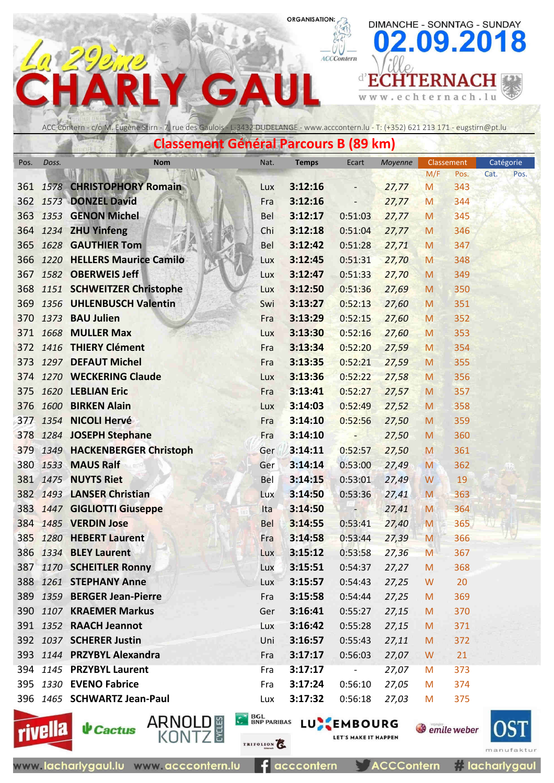ACCContern

 $\leq$  w  $\leq$  .

DIMANCHE - SONNTAG - SUNDAY

echternach.lu

**d'ECHTERNACH** 

09.2018

#### ACC Contern - c/o M. Eugène Stirn - 7, rue des Gaulois - L-3432 DUDELANGE - www.acccontern.lu - T: (+352) 621 213 171 - eugstirn@pt.lu

G

|      | Classement General Parcours B (89 km) |                                            |            |                    |                          |                |        |            |           |      |  |  |
|------|---------------------------------------|--------------------------------------------|------------|--------------------|--------------------------|----------------|--------|------------|-----------|------|--|--|
| Pos. | Doss.                                 | <b>Nom</b>                                 | Nat.       | <b>Temps</b>       | Ecart                    | Moyenne        |        | Classement | Catégorie |      |  |  |
|      |                                       |                                            |            |                    |                          |                | M/F    | Pos.       | Cat.      | Pos. |  |  |
| 361  |                                       | <b>1578 CHRISTOPHORY Romain</b>            | Lux        | 3:12:16            |                          | 27,77          | M      | 343        |           |      |  |  |
|      |                                       | 362 1573 DONZEL David                      | Fra        | 3:12:16            | $\overline{\phantom{m}}$ | 27,77          | M      | 344        |           |      |  |  |
| 363  |                                       | 1353 GENON Michel                          | <b>Bel</b> | 3:12:17            | 0:51:03                  | 27,77          | M      | 345        |           |      |  |  |
|      |                                       | 364 1234 ZHU Yinfeng                       | Chi        | 3:12:18            | 0:51:04                  | 27,77          | M      | 346        |           |      |  |  |
|      |                                       | 365 1628 <b>GAUTHIER Tom</b>               | <b>Bel</b> | 3:12:42            | 0:51:28                  | 27,71          | M      | 347        |           |      |  |  |
| 366  |                                       | 1220 HELLERS Maurice Camilo                | Lux        | 3:12:45            | 0:51:31                  | 27,70          | M      | 348        |           |      |  |  |
|      |                                       | 367 1582 OBERWEIS Jeff                     | Lux        | 3:12:47            | 0:51:33                  | 27,70          | M      | 349        |           |      |  |  |
|      |                                       | 368 1151 SCHWEITZER Christophe             | Lux        | 3:12:50            | 0:51:36                  | 27,69          | M      | 350        |           |      |  |  |
| 369  |                                       | 1356 UHLENBUSCH Valentin                   | Swi        | 3:13:27            | 0:52:13                  | 27,60          | M      | 351        |           |      |  |  |
| 370  |                                       | 1373 BAU Julien                            | Fra        | 3:13:29            | 0:52:15                  | 27,60          | M      | 352        |           |      |  |  |
| 371  |                                       | 1668 MULLER Max<br>372 1416 THIERY Clément | Lux        | 3:13:30            | 0:52:16                  | 27,60          | M      | 353        |           |      |  |  |
| 373  |                                       | 1297 DEFAUT Michel                         | Fra        | 3:13:34<br>3:13:35 | 0:52:20                  | 27,59          | M      | 354        |           |      |  |  |
|      |                                       | 374 1270 WECKERING Claude                  | Fra        |                    | 0:52:21                  | 27,59          | M      | 355        |           |      |  |  |
| 375  |                                       | 1620 LEBLIAN Eric                          | Lux        | 3:13:36<br>3:13:41 | 0:52:22<br>0:52:27       | 27,58          | M      | 356<br>357 |           |      |  |  |
| 376  |                                       | 1600 BIRKEN Alain                          | Fra<br>Lux | 3:14:03            | 0:52:49                  | 27,57<br>27,52 | M<br>M | 358        |           |      |  |  |
|      |                                       | 377 1354 NICOLI Hervé                      | Fra        | 3:14:10            | 0:52:56                  | 27,50          | M      | 359        |           |      |  |  |
|      |                                       | 378 1284 JOSEPH Stephane                   | Fra        | 3:14:10            | -                        | 27,50          | M      | 360        |           |      |  |  |
| 379  |                                       | 1349 HACKENBERGER Christoph                | Ger        | 3:14:11            | 0:52:57                  | 27,50          | M      | 361        |           |      |  |  |
|      |                                       | 380 1533 MAUS Ralf                         | Ger        | 3:14:14            | 0:53:00                  | 27,49          | M      | 362        |           |      |  |  |
|      |                                       | 381 1475 NUYTS Riet                        | Bel        | 3:14:15            | 0:53:01                  | 27,49          | W      | 19         |           |      |  |  |
|      |                                       | 382 1493 LANSER Christian                  | Lux        | 3:14:50            | 0:53:36                  | 27,41          | M      | 363        |           |      |  |  |
|      |                                       | 383 1447 GIGLIOTTI Giuseppe                | Ita        | 3:14:50            | $-7 -$                   | 27,41          | M      | 364        |           |      |  |  |
|      |                                       | 384 1485 VERDIN Jose                       | <b>Bel</b> | 3:14:55            | 0:53:41                  | 27,40          | M      | 365        |           |      |  |  |
| 385  |                                       | 1280 HEBERT Laurent                        | Fra        | 3:14:58            | 0:53:44                  | 27,39          | M      | 366        |           |      |  |  |
|      |                                       | 386 1334 BLEY Laurent                      | Lux        | 3:15:12            | 0:53:58                  | 27,36          | M      | 367        |           |      |  |  |
|      |                                       | 387 1170 SCHEITLER Ronny                   | Lux        | 3:15:51            | 0:54:37                  | 27,27          | M      | 368        |           |      |  |  |
|      |                                       | 388 1261 STEPHANY Anne                     | <b>Lux</b> | 3:15:57            | 0:54:43                  | 27,25          | W      | 20         |           |      |  |  |
|      |                                       | 389 1359 BERGER Jean-Pierre                | Fra        | 3:15:58            | 0:54:44                  | 27,25          | M      | 369        |           |      |  |  |
|      |                                       | 390 1107 KRAEMER Markus                    | Ger        | 3:16:41            | 0:55:27                  | 27,15          | M      | 370        |           |      |  |  |
|      |                                       | 391 1352 RAACH Jeannot                     | Lux        | 3:16:42            | 0:55:28                  | 27,15          | M      | 371        |           |      |  |  |
|      |                                       | 392 1037 SCHERER Justin                    | Uni        | 3:16:57            | 0:55:43                  | 27,11          | M      | 372        |           |      |  |  |
|      |                                       | 393 1144 PRZYBYL Alexandra                 | Fra        | 3:17:17            | 0:56:03                  | 27,07          | W      | 21         |           |      |  |  |
|      |                                       | 394 1145 PRZYBYL Laurent                   | Fra        | 3:17:17            | $\overline{\phantom{a}}$ | 27,07          | M      | 373        |           |      |  |  |
|      |                                       | 395 1330 EVENO Fabrice                     | Fra        | 3:17:24            | 0:56:10                  | 27,05          | M      | 374        |           |      |  |  |
|      |                                       | 396 1465 SCHWARTZ Jean-Paul                | Lux        | 3:17:32            | 0:56:18                  | 27,03          | M      | 375        |           |      |  |  |
|      |                                       |                                            |            |                    |                          |                |        |            |           |      |  |  |





BGL BNP PARIBAS LU EMBOURG

**S** emile weber LET'S MAKE IT HAPPEN



manu **Tacharlygaul** 

www.lacharlygaul.lu www.acccontern.lu

 $f$  acccontern

TRIFOLION<sup>2</sup>

**ACCContern**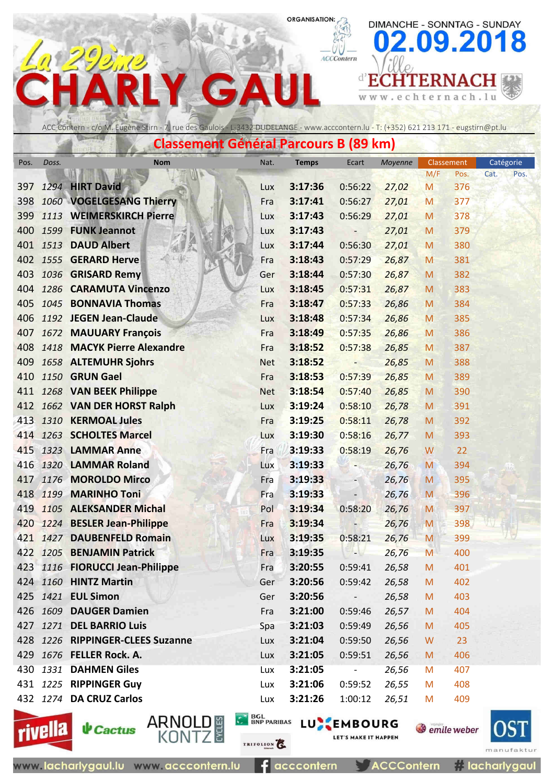ACCContern

 $\leq$  w  $\leq$  .

e

DIMANCHE - SONNTAG - SUNDAY

chternach.lu

**d'ECHTERNACH** 

09.2018



 $\Delta$ 

G

|      | <b>Classement Général Parcours B (89 km)</b><br>Nat.<br><b>Temps</b><br>Ecart<br>Classement<br><b>Nom</b> |                                  |            |         |                          |         |     |      |              |  |  |  |  |
|------|-----------------------------------------------------------------------------------------------------------|----------------------------------|------------|---------|--------------------------|---------|-----|------|--------------|--|--|--|--|
| Pos. | Doss.                                                                                                     |                                  |            |         |                          | Moyenne |     |      | Catégorie    |  |  |  |  |
|      |                                                                                                           |                                  |            |         |                          |         | M/F | Pos. | Cat.<br>Pos. |  |  |  |  |
| 397  |                                                                                                           | 1294 HIRT David                  | Lux        | 3:17:36 | 0:56:22                  | 27,02   | M   | 376  |              |  |  |  |  |
| 398  |                                                                                                           | 1060 VOGELGESANG Thierry         | Fra        | 3:17:41 | 0:56:27                  | 27,01   | M   | 377  |              |  |  |  |  |
| 399  |                                                                                                           | 1113 WEIMERSKIRCH Pierre         | Lux        | 3:17:43 | 0:56:29                  | 27,01   | M   | 378  |              |  |  |  |  |
| 400  |                                                                                                           | 1599 FUNK Jeannot                | Lux        | 3:17:43 | -                        | 27,01   | M   | 379  |              |  |  |  |  |
|      |                                                                                                           | 401 1513 DAUD Albert             | Lux        | 3:17:44 | 0:56:30                  | 27,01   | M   | 380  |              |  |  |  |  |
|      |                                                                                                           | 402 1555 GERARD Herve            | Fra        | 3:18:43 | 0:57:29                  | 26,87   | M   | 381  |              |  |  |  |  |
| 403  |                                                                                                           | 1036 GRISARD Remy                | Ger        | 3:18:44 | 0:57:30                  | 26,87   | M   | 382  |              |  |  |  |  |
| 404  |                                                                                                           | 1286 CARAMUTA Vincenzo           | Lux        | 3:18:45 | 0:57:31                  | 26,87   | M   | 383  |              |  |  |  |  |
| 405  |                                                                                                           | 1045 BONNAVIA Thomas             | Fra        | 3:18:47 | 0:57:33                  | 26,86   | M   | 384  |              |  |  |  |  |
| 406  |                                                                                                           | 1192 JEGEN Jean-Claude           | Lux        | 3:18:48 | 0:57:34                  | 26,86   | M   | 385  |              |  |  |  |  |
| 407  |                                                                                                           | 1672 MAUUARY François            | Fra        | 3:18:49 | 0:57:35                  | 26,86   | M   | 386  |              |  |  |  |  |
| 408  |                                                                                                           | 1418 MACYK Pierre Alexandre      | Fra        | 3:18:52 | 0:57:38                  | 26,85   | M   | 387  |              |  |  |  |  |
| 409  |                                                                                                           | 1658 ALTEMUHR Sjohrs             | <b>Net</b> | 3:18:52 |                          | 26,85   | M   | 388  |              |  |  |  |  |
| 410  |                                                                                                           | 1150 GRUN Gael                   | Fra        | 3:18:53 | 0:57:39                  | 26,85   | M   | 389  |              |  |  |  |  |
|      |                                                                                                           | 411 1268 VAN BEEK Philippe       | <b>Net</b> | 3:18:54 | 0:57:40                  | 26,85   | M   | 390  |              |  |  |  |  |
|      |                                                                                                           | 412 1662 VAN DER HORST Ralph     | Lux        | 3:19:24 | 0:58:10                  | 26,78   | M   | 391  |              |  |  |  |  |
|      |                                                                                                           | 413 1310 KERMOAL Jules           | Fra        | 3:19:25 | 0:58:11                  | 26,78   | M   | 392  |              |  |  |  |  |
|      |                                                                                                           | 414 1263 SCHOLTES Marcel         | Lux        | 3:19:30 | 0:58:16                  | 26,77   | M   | 393  |              |  |  |  |  |
| 415  |                                                                                                           | 1323 LAMMAR Anne                 | Fra        | 3:19:33 | 0:58:19                  | 26,76   | W   | 22   |              |  |  |  |  |
|      |                                                                                                           | 416 1320 LAMMAR Roland           | Lux        | 3:19:33 |                          | 26,76   | M   | 394  |              |  |  |  |  |
| 417  |                                                                                                           | 1176 MOROLDO Mirco               | Fra        | 3:19:33 | $\overline{\phantom{a}}$ | 26,76   | M   | 395  |              |  |  |  |  |
|      |                                                                                                           | 418 1199 MARINHO Toni            | Fra        | 3:19:33 |                          | 26,76   | M   | 396  |              |  |  |  |  |
| 419  |                                                                                                           | 1105 ALEKSANDER Michal           | Pol        | 3:19:34 | 0:58:20                  | 26,76   | M   | 397  |              |  |  |  |  |
|      |                                                                                                           | 420 1224 BESLER Jean-Philippe    | Fra        | 3:19:34 |                          | 26,76   | M   | 398  |              |  |  |  |  |
|      |                                                                                                           | 421 1427 DAUBENFELD Romain       | Lux        | 3:19:35 | 0:58:21                  | 26,76   | M   | 399  |              |  |  |  |  |
|      |                                                                                                           | 422 1205 BENJAMIN Patrick        | Fra        | 3:19:35 | - 16                     | 26,76   | M   | 400  |              |  |  |  |  |
|      |                                                                                                           | 423 1116 FIORUCCI Jean-Philippe  | Fra        | 3:20:55 | 0:59:41                  | 26,58   | M   | 401  |              |  |  |  |  |
|      |                                                                                                           | 424 1160 HINTZ Martin            | Ger        | 3:20:56 | 0:59:42                  | 26,58   | M   | 402  |              |  |  |  |  |
|      |                                                                                                           | 425 1421 EUL Simon               | Ger        | 3:20:56 | $\overline{\phantom{a}}$ | 26,58   | M   | 403  |              |  |  |  |  |
|      |                                                                                                           | 426 1609 DAUGER Damien           | Fra        | 3:21:00 | 0:59:46                  | 26,57   | M   | 404  |              |  |  |  |  |
|      |                                                                                                           | 427 1271 DEL BARRIO Luis         | Spa        | 3:21:03 | 0:59:49                  | 26,56   | M   | 405  |              |  |  |  |  |
|      |                                                                                                           | 428 1226 RIPPINGER-CLEES Suzanne | Lux        | 3:21:04 | 0:59:50                  | 26,56   | W   | 23   |              |  |  |  |  |
|      |                                                                                                           | 429 1676 FELLER Rock. A.         | Lux        | 3:21:05 | 0:59:51                  | 26,56   | M   | 406  |              |  |  |  |  |
| 430  |                                                                                                           | 1331 DAHMEN Giles                | Lux        | 3:21:05 |                          | 26,56   | M   | 407  |              |  |  |  |  |
|      |                                                                                                           | 431 1225 RIPPINGER Guy           | Lux        | 3:21:06 | 0:59:52                  | 26,55   | M   | 408  |              |  |  |  |  |
|      |                                                                                                           | 432 1274 DA CRUZ Carlos          | Lux        | 3:21:26 | 1:00:12                  | 26,51   | M   | 409  |              |  |  |  |  |





TRIFOLION<sup>2</sup>

61

**C BOL BNP PARIBAS LU EMBOURG** LET'S MAKE IT HAPPEN



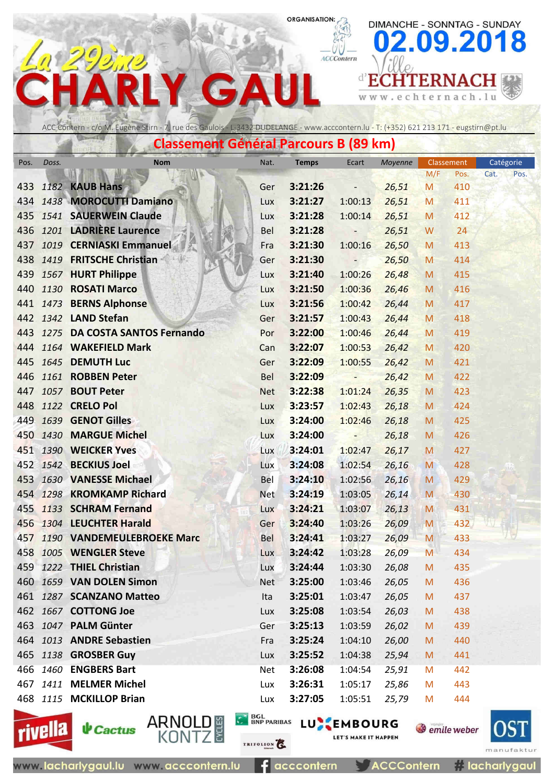ACCContern

 $\leq$  w  $\leq$  .

e

DIMANCHE - SONNTAG - SUNDAY

chternach.lu

**d'ECHTERNACH** 

09.2018

ACC Contern - c/o M. Eugène Stirn - 7, rue des Gaulois - L-3432 DUDELANGE - www.acccontern.lu - T: (+352) 621 213 171 - eugstirn@pt.lu

 $\Delta$ 

G

| <b>Classement Général Parcours B (89 km)</b>                                                       |  |                                   |            |         |                          |        |     |      |              |  |  |  |
|----------------------------------------------------------------------------------------------------|--|-----------------------------------|------------|---------|--------------------------|--------|-----|------|--------------|--|--|--|
| <b>Temps</b><br>Moyenne<br>Catégorie<br>Doss.<br><b>Nom</b><br>Nat.<br>Ecart<br>Classement<br>Pos. |  |                                   |            |         |                          |        |     |      |              |  |  |  |
|                                                                                                    |  |                                   |            |         |                          |        | M/F | Pos. | Cat.<br>Pos. |  |  |  |
|                                                                                                    |  | 433 1182 KAUB Hans                | Ger        | 3:21:26 | $\overline{\phantom{0}}$ | 26,51  | M   | 410  |              |  |  |  |
|                                                                                                    |  | 434 1438 MOROCUTTI Damiano        | <b>Lux</b> | 3:21:27 | 1:00:13                  | 26,51  | M   | 411  |              |  |  |  |
|                                                                                                    |  | 435 1541 SAUERWEIN Claude         | Lux        | 3:21:28 | 1:00:14                  | 26,51  | M   | 412  |              |  |  |  |
|                                                                                                    |  | 436 1201 LADRIÈRE Laurence        | <b>Bel</b> | 3:21:28 | $\overline{\phantom{0}}$ | 26,51  | W   | 24   |              |  |  |  |
|                                                                                                    |  | 437 1019 CERNIASKI Emmanuel       | Fra        | 3:21:30 | 1:00:16                  | 26,50  | M   | 413  |              |  |  |  |
|                                                                                                    |  | 438 1419 FRITSCHE Christian       | Ger        | 3:21:30 | $-$                      | 26,50  | M   | 414  |              |  |  |  |
|                                                                                                    |  | 439 1567 HURT Philippe            | Lux        | 3:21:40 | 1:00:26                  | 26,48  | M   | 415  |              |  |  |  |
| 440                                                                                                |  | 1130 ROSATI Marco                 | <b>Lux</b> | 3:21:50 | 1:00:36                  | 26,46  | M   | 416  |              |  |  |  |
|                                                                                                    |  | 441 1473 BERNS Alphonse           | Lux        | 3:21:56 | 1:00:42                  | 26,44  | M   | 417  |              |  |  |  |
|                                                                                                    |  | 442 1342 LAND Stefan              | Ger        | 3:21:57 | 1:00:43                  | 26,44  | M   | 418  |              |  |  |  |
|                                                                                                    |  | 443 1275 DA COSTA SANTOS Fernando | Por        | 3:22:00 | 1:00:46 26,44            |        | M   | 419  |              |  |  |  |
|                                                                                                    |  | 444 1164 WAKEFIELD Mark           | Can        | 3:22:07 | 1:00:53                  | 26,42  | M   | 420  |              |  |  |  |
| 445                                                                                                |  | 1645 DEMUTH Luc                   | Ger        | 3:22:09 | 1:00:55                  | 26,42  | M   | 421  |              |  |  |  |
|                                                                                                    |  | 446 1161 ROBBEN Peter             | Bel        | 3:22:09 | - 5                      | 26,42  | M   | 422  |              |  |  |  |
|                                                                                                    |  | 447 1057 <b>BOUT Peter</b>        | <b>Net</b> | 3:22:38 | 1:01:24                  | 26,35  | M   | 423  |              |  |  |  |
| 448                                                                                                |  | 1122 CRELO Pol                    | Lux        | 3:23:57 | 1:02:43                  | 26,18  | M   | 424  |              |  |  |  |
|                                                                                                    |  | 449 1639 GENOT Gilles             | Lux        | 3:24:00 | 1:02:46                  | 26,18  | M   | 425  |              |  |  |  |
|                                                                                                    |  | 450 1430 MARGUE Michel            | Lux        | 3:24:00 | <b>AST</b>               | 26,18  | M   | 426  |              |  |  |  |
|                                                                                                    |  | 451 1390 WEICKER Yves             | <b>Lux</b> | 3:24:01 | 1:02:47                  | 26,17  | M   | 427  |              |  |  |  |
|                                                                                                    |  | 452 1542 BECKIUS Joel             | Lux        | 3:24:08 | 1:02:54                  | 26,16  | M   | 428  |              |  |  |  |
|                                                                                                    |  | 453 1630 VANESSE Michael          | Bel        | 3:24:10 | 1:02:56                  | 26,16  | M   | 429  |              |  |  |  |
|                                                                                                    |  | 454 1298 KROMKAMP Richard         | <b>Net</b> | 3:24:19 | 1:03:05                  | 26,14  | M   | 430  |              |  |  |  |
|                                                                                                    |  | 455 1133 SCHRAM Fernand           | Lux        | 3:24:21 | 1:03:07                  | 26, 13 | M   | 431  |              |  |  |  |
|                                                                                                    |  | 456 1304 LEUCHTER Harald          | Ger        | 3:24:40 | 1:03:26                  | 26,09  | M   | 432  |              |  |  |  |
|                                                                                                    |  | 457 1190 VANDEMEULEBROEKE Marc    | Bel        | 3:24:41 | 1:03:27                  | 26,09  | M   | 433  |              |  |  |  |
|                                                                                                    |  | 458 1005 WENGLER Steve            | Lux        |         | $3:24:42$ $1:03:28$      | 26,09  | M   | 434  |              |  |  |  |
|                                                                                                    |  | 459 1222 THIEL Christian          | Lux        | 3:24:44 | 1:03:30                  | 26,08  | M   | 435  |              |  |  |  |
|                                                                                                    |  | 460 1659 VAN DOLEN Simon          | <b>Net</b> | 3:25:00 | 1:03:46                  | 26,05  | M   | 436  |              |  |  |  |
|                                                                                                    |  | 461 1287 SCANZANO Matteo          | Ita        | 3:25:01 | 1:03:47                  | 26,05  | M   | 437  |              |  |  |  |
|                                                                                                    |  | 462 1667 COTTONG Joe              | Lux        | 3:25:08 | 1:03:54                  | 26,03  | M   | 438  |              |  |  |  |
|                                                                                                    |  | 463 1047 PALM Günter              | Ger        | 3:25:13 | 1:03:59                  | 26,02  | M   | 439  |              |  |  |  |
|                                                                                                    |  | 464 1013 ANDRE Sebastien          | Fra        | 3:25:24 | 1:04:10                  | 26,00  | M   | 440  |              |  |  |  |
|                                                                                                    |  | 465 1138 GROSBER Guy              | Lux        | 3:25:52 | 1:04:38                  | 25,94  | M   | 441  |              |  |  |  |
|                                                                                                    |  | 466 1460 ENGBERS Bart             | <b>Net</b> | 3:26:08 | 1:04:54                  | 25,91  | M   | 442  |              |  |  |  |
|                                                                                                    |  | 467 1411 MELMER Michel            | Lux        | 3:26:31 | 1:05:17                  | 25,86  | M   | 443  |              |  |  |  |
|                                                                                                    |  | 468 1115 MCKILLOP Brian           | Lux        | 3:27:05 | 1:05:51                  | 25,79  | M   | 444  |              |  |  |  |





www.lacharlygaul.lu www.acccontern.lu

TRIFOLION<sup>2</sup>

E 3

**C BOL BNP PARIBAS LU EMBOURG** LET'S MAKE IT HAPPEN

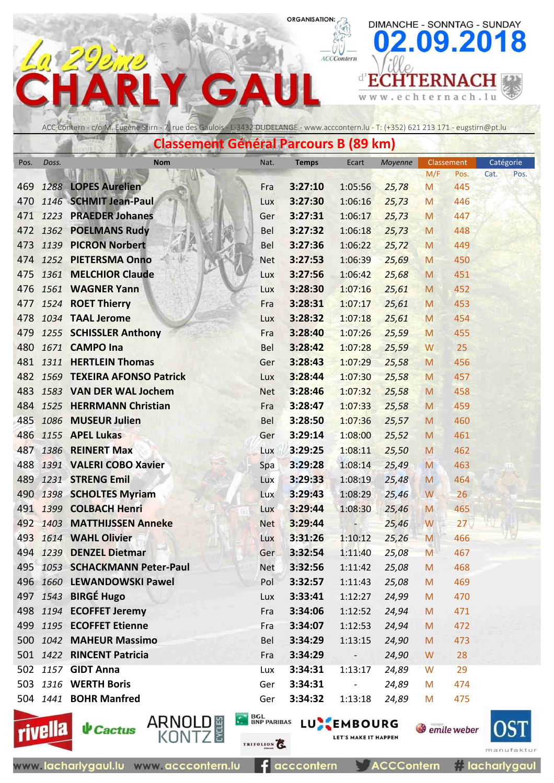ACCContern

 $D$   $I$ 

 $\leq$  w  $\leq$  .

e

DIMANCHE - SONNTAG - SUNDAY

chternach.lu

**d'ECHTERNACH** 

09.2018

# ACC Contern - c/o M. Eugène Stirn - 7, rue des Gaulois - L-3432 DUDELANGE - www.acccontern.lu - T: (+352) 621 213 171 - eugstirn@pt.lu

**Concert Canadian Doveous** 

 $\Delta$ 

G

|      | Classement General Parcours D (09 Kill) |                                 |            |              |                          |         |            |                 |           |      |  |
|------|-----------------------------------------|---------------------------------|------------|--------------|--------------------------|---------|------------|-----------------|-----------|------|--|
| Pos. | Doss.                                   | <b>Nom</b>                      | Nat.       | <b>Temps</b> | Ecart                    | Moyenne | Classement |                 | Catégorie |      |  |
|      |                                         |                                 |            |              |                          |         | M/F        | Pos.            | Cat.      | Pos. |  |
| 469  |                                         | 1288 LOPES Aurelien             | Fra        | 3:27:10      | 1:05:56                  | 25,78   | M          | 445             |           |      |  |
|      |                                         | 470 1146 SCHMIT Jean-Paul       | Lux        | 3:27:30      | 1:06:16                  | 25,73   | M          | 446             |           |      |  |
|      |                                         | 471 1223 PRAEDER Johanes        | Ger        | 3:27:31      | 1:06:17                  | 25,73   | M          | 447             |           |      |  |
|      |                                         | 472 1362 POELMANS Rudy          | <b>Bel</b> | 3:27:32      | 1:06:18                  | 25,73   | M          | 448             |           |      |  |
| 473  |                                         | 1139 PICRON Norbert             | Bel        | 3:27:36      | 1:06:22                  | 25,72   | M          | 449             |           |      |  |
| 474  |                                         | 1252 PIETERSMA Onno             | <b>Net</b> | 3:27:53      | 1:06:39                  | 25,69   | M          | 450             |           |      |  |
|      |                                         | 475 1361 MELCHIOR Claude        | Lux        | 3:27:56      | 1:06:42                  | 25,68   | M          | 451             |           |      |  |
| 476  |                                         | 1561 WAGNER Yann                | Lux        | 3:28:30      | 1:07:16                  | 25,61   | M          | 452             |           |      |  |
| 477  |                                         | 1524 ROET Thierry               | Fra        | 3:28:31      | 1:07:17                  | 25,61   | M          | 453             |           |      |  |
|      |                                         | 478 1034 TAAL Jerome            | Lux        | 3:28:32      | 1:07:18                  | 25,61   | M          | 454             |           |      |  |
| 479  |                                         | 1255 SCHISSLER Anthony          | Fra        | 3:28:40      | 1:07:26                  | 25,59   | M          | 455             |           |      |  |
| 480  |                                         | 1671 CAMPO Ina                  | Bel        | 3:28:42      | 1:07:28                  | 25,59   | W          | 25              |           |      |  |
| 481  |                                         | 1311 HERTLEIN Thomas            | Ger        | 3:28:43      | 1:07:29                  | 25,58   | M          | 456             |           |      |  |
|      |                                         | 482 1569 TEXEIRA AFONSO Patrick | Lux        | 3:28:44      | 1:07:30                  | 25,58   | M          | 457             |           |      |  |
|      |                                         | 483 1583 VAN DER WAL Jochem     | <b>Net</b> | 3:28:46      | 1:07:32                  | 25,58   | M          | 458             |           |      |  |
|      |                                         | 484 1525 HERRMANN Christian     | Fra        | 3:28:47      | 1:07:33                  | 25,58   | M          | 459             |           |      |  |
|      |                                         | 485 1086 MUSEUR Julien          | Bel        | 3:28:50      | 1:07:36                  | 25,57   | M          | 460             |           |      |  |
|      |                                         | 486 1155 APEL Lukas             | Ger        | 3:29:14      | 1:08:00                  | 25,52   | M          | 461             |           |      |  |
| 487  |                                         | 1386 REINERT Max                | Lux        | 3:29:25      | 1:08:11                  | 25,50   | M          | 462             |           |      |  |
|      |                                         | 488 1391 VALERI COBO Xavier     | Spa        | 3:29:28      | 1:08:14                  | 25,49   | M          | 463             |           |      |  |
|      |                                         | 489 1231 STRENG Emil            | Lux        | 3:29:33      | 1:08:19                  | 25,48   | M          | 464             |           |      |  |
|      |                                         | 490 1398 SCHOLTES Myriam        | Lux        | 3:29:43      | 1:08:29                  | 25,46   | W          | 26              |           |      |  |
|      |                                         | 491 1399 COLBACH Henri          | Lux        | 3:29:44      | 1:08:30                  | 25,46   | M          | 465             |           |      |  |
|      |                                         | 492 1403 MATTHIJSSEN Anneke     | <b>Net</b> | 3:29:44      | $\overline{\phantom{0}}$ | 25,46   | W          | 27 <sub>2</sub> |           |      |  |
|      |                                         | 493 1614 WAHL Olivier           | Lux        | 3:31:26      | 1:10:12                  | 25,26   | M          | 466             |           |      |  |
|      |                                         | 494 1239 DENZEL Dietmar         | Ger        | 3:32:54      | 1:11:40                  | 25,08   | M          | 467             |           |      |  |
|      |                                         | 495 1053 SCHACKMANN Peter-Paul  | <b>Net</b> | 3:32:56      | 1:11:42                  | 25,08   | M          | 468             |           |      |  |
|      |                                         | 496 1660 LEWANDOWSKI Pawel      | Pol        | 3:32:57      | 1:11:43                  | 25,08   | M          | 469             |           |      |  |
|      |                                         | 497 1543 BIRGÉ Hugo             | Lux        | 3:33:41      | 1:12:27                  | 24,99   | M          | 470             |           |      |  |
|      |                                         | 498 1194 ECOFFET Jeremy         | Fra        | 3:34:06      | 1:12:52                  | 24,94   | M          | 471             |           |      |  |
|      |                                         | 499 1195 ECOFFET Etienne        | Fra        | 3:34:07      | 1:12:53                  | 24,94   | M          | 472             |           |      |  |
|      |                                         | 500 1042 MAHEUR Massimo         | Bel        | 3:34:29      | 1:13:15                  | 24,90   | M          | 473             |           |      |  |
|      |                                         | 501 1422 RINCENT Patricia       | Fra        | 3:34:29      | $ -$                     | 24,90   | W          | 28              |           |      |  |
|      |                                         | 502 1157 GIDT Anna              | Lux        | 3:34:31      | 1:13:17                  | 24,89   | W          | 29              |           |      |  |
|      |                                         | 503 1316 WERTH Boris            | Ger        | 3:34:31      | $\blacksquare$           | 24,89   | M          | 474             |           |      |  |
|      |                                         | 504 1441 <b>BOHR Manfred</b>    | Ger        | 3:34:32      | 1:13:18                  | 24,89   | M          | 475             |           |      |  |
|      |                                         |                                 |            |              |                          |         |            |                 |           |      |  |



**C BOL BNP PARIBAS LU EMBOURG** LET'S MAKE IT HAPPEN

TRIFOLION<sup>2</sup>

E 3

**S** emile weber



acccontern **ACCContern**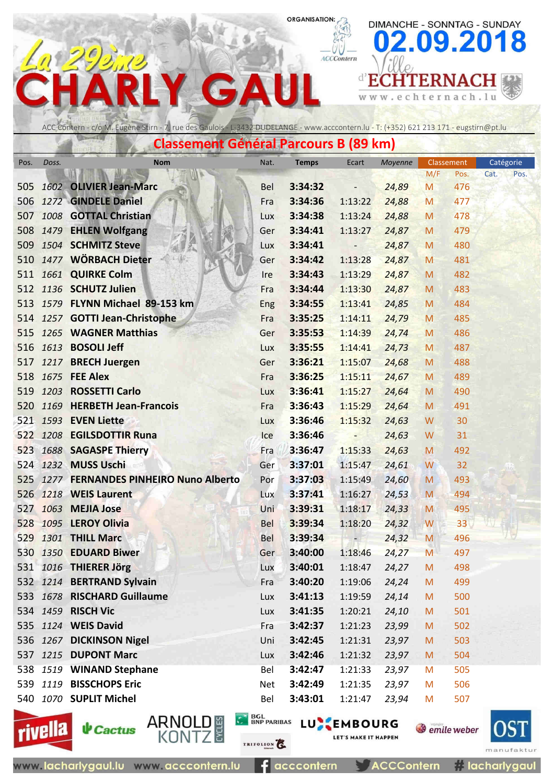ACCContern

 $\leq$  w  $\leq$  .

 $\sqrt{2}$ 

e

DIMANCHE - SONNTAG - SUNDAY

chternach.lu

**d'ECHTERNACH** 

09.2018



 $\blacktriangle$ 

G

|      | Classement General Parcours D (09 Km) |                                          |            |                       |                          |         |            |      |           |      |  |  |  |
|------|---------------------------------------|------------------------------------------|------------|-----------------------|--------------------------|---------|------------|------|-----------|------|--|--|--|
| Pos. | Doss.                                 | <b>Nom</b>                               | Nat.       | Ecart<br><b>Temps</b> |                          | Moyenne | Classement |      | Catégorie |      |  |  |  |
|      |                                       |                                          |            |                       |                          |         | M/F        | Pos. | Cat.      | Pos. |  |  |  |
| 505  |                                       | 1602 OLIVIER Jean-Marc                   | <b>Bel</b> | 3:34:32               | $\overline{\phantom{a}}$ | 24,89   | M          | 476  |           |      |  |  |  |
| 506  |                                       | 1272 GINDELE Daniel                      | Fra        | 3:34:36               | 1:13:22                  | 24,88   | M          | 477  |           |      |  |  |  |
| 507  |                                       | 1008 GOTTAL Christian                    | <b>Lux</b> | 3:34:38               | 1:13:24                  | 24,88   | M          | 478  |           |      |  |  |  |
| 508  |                                       | 1479 EHLEN Wolfgang                      | Ger        | 3:34:41               | 1:13:27                  | 24,87   | M          | 479  |           |      |  |  |  |
|      |                                       | 509 1504 SCHMITZ Steve                   | Lux        | 3:34:41               | $\qquad \qquad -$        | 24,87   | M          | 480  |           |      |  |  |  |
| 510  |                                       | 1477 WÖRBACH Dieter                      | Ger        | 3:34:42               | 1:13:28                  | 24,87   | M          | 481  |           |      |  |  |  |
|      |                                       | 511 1661 QUIRKE Colm                     | <b>Ire</b> | 3:34:43               | 1:13:29                  | 24,87   | M          | 482  |           |      |  |  |  |
|      |                                       | 512 1136 SCHUTZ Julien                   | Fra        | 3:34:44               | 1:13:30                  | 24,87   | M          | 483  |           |      |  |  |  |
| 513  |                                       | 1579 FLYNN Michael 89-153 km             | Eng        | 3:34:55               | 1:13:41                  | 24,85   | M          | 484  |           |      |  |  |  |
| 514  |                                       | 1257 GOTTI Jean-Christophe               | Fra        | 3:35:25               | 1:14:11                  | 24,79   | M          | 485  |           |      |  |  |  |
| 515  |                                       | 1265 WAGNER Matthias                     | Ger        | 3:35:53               | 1:14:39                  | 24,74   | M          | 486  |           |      |  |  |  |
| 516  |                                       | 1613 <b>BOSOLI Jeff</b>                  | Lux        | 3:35:55               | 1:14:41                  | 24,73   | M          | 487  |           |      |  |  |  |
| 517  |                                       | 1217 BRECH Juergen                       | Ger        | 3:36:21               | 1:15:07                  | 24,68   | M          | 488  |           |      |  |  |  |
| 518  |                                       | <b>1675 FEE Alex</b>                     | Fra        | 3:36:25               | 1:15:11                  | 24,67   | M          | 489  |           |      |  |  |  |
|      |                                       | 519 1203 ROSSETTI Carlo                  | Lux        | 3:36:41               | 1:15:27                  | 24,64   | M          | 490  |           |      |  |  |  |
| 520  |                                       | 1169 HERBETH Jean-Francois               | Fra        | 3:36:43               | 1:15:29                  | 24,64   | M          | 491  |           |      |  |  |  |
|      |                                       | 521 1593 EVEN Liette                     | Lux        | 3:36:46               | 1:15:32                  | 24,63   | W          | 30   |           |      |  |  |  |
|      |                                       | 522 1208 EGILSDOTTIR Runa                | Ice        | 3:36:46               | -                        | 24,63   | W          | 31   |           |      |  |  |  |
| 523  |                                       | 1688 SAGASPE Thierry                     | Fra        | 3:36:47               | 1:15:33                  | 24,63   | M          | 492  |           |      |  |  |  |
|      |                                       | 524 1232 MUSS Uschi                      | Ger        | 3:37:01               | 1:15:47                  | 24,61   | W          | 32   |           |      |  |  |  |
|      |                                       | 525 1277 FERNANDES PINHEIRO Nuno Alberto | Por        | 3:37:03               | 1:15:49                  | 24,60   | M          | 493  |           |      |  |  |  |
|      |                                       | 526 1218 WEIS Laurent                    | Lux        | 3:37:41               | 1:16:27                  | 24,53   | M          | 494  |           |      |  |  |  |
| 527  | 1063                                  | <b>MEJIA Jose</b>                        | Uni        | 3:39:31               | 1:18:17                  | 24,33   | M          | 495  |           |      |  |  |  |
|      |                                       | 528 1095 LEROY Olivia                    | <b>Bel</b> | 3:39:34               | 1:18:20                  | 24,32   | W          | 33   |           |      |  |  |  |
| 529  |                                       | 1301 THILL Marc                          | <b>Bel</b> | 3:39:34               | $-1$                     | 24,32   | M          | 496  |           |      |  |  |  |
|      |                                       | 530 1350 EDUARD Biwer                    | Ger        | 3:40:00               | 1:18:46                  | 24,27   | M          | 497  |           |      |  |  |  |
|      |                                       | 531 1016 THIERER Jörg                    | Lux        | 3:40:01               | 1:18:47                  | 24,27   | M          | 498  |           |      |  |  |  |
|      |                                       | 532 1214 BERTRAND Sylvain                | Fra        | 3:40:20               | 1:19:06                  | 24,24   | M          | 499  |           |      |  |  |  |
|      |                                       | 533 1678 RISCHARD Guillaume              | Lux        | 3:41:13               | 1:19:59                  | 24,14   | M          | 500  |           |      |  |  |  |
|      |                                       | 534 1459 RISCH Vic                       | Lux        | 3:41:35               | 1:20:21                  | 24,10   | M          | 501  |           |      |  |  |  |
|      |                                       | 535 1124 WEIS David                      | Fra        | 3:42:37               | 1:21:23                  | 23,99   | M          | 502  |           |      |  |  |  |
|      |                                       | 536 1267 DICKINSON Nigel                 | Uni        | 3:42:45               | 1:21:31                  | 23,97   | M          | 503  |           |      |  |  |  |
|      |                                       | 537 1215 DUPONT Marc                     | Lux        | 3:42:46               | 1:21:32                  | 23,97   | M          | 504  |           |      |  |  |  |
|      |                                       | 538 1519 WINAND Stephane                 | Bel        | 3:42:47               | 1:21:33                  | 23,97   | M          | 505  |           |      |  |  |  |
|      |                                       | 539 1119 BISSCHOPS Eric                  | Net        | 3:42:49               | 1:21:35                  | 23,97   | M          | 506  |           |      |  |  |  |
|      |                                       | 540 1070 SUPLIT Michel                   | Bel        | 3:43:01               | 1:21:47                  | 23,94   | M          | 507  |           |      |  |  |  |



www.lacharlygaul.lu www.acccontern.lu



acccontern

E 3

**C BOL BNP PARIBAS LU EMBOURG** 

**ACCContern** 

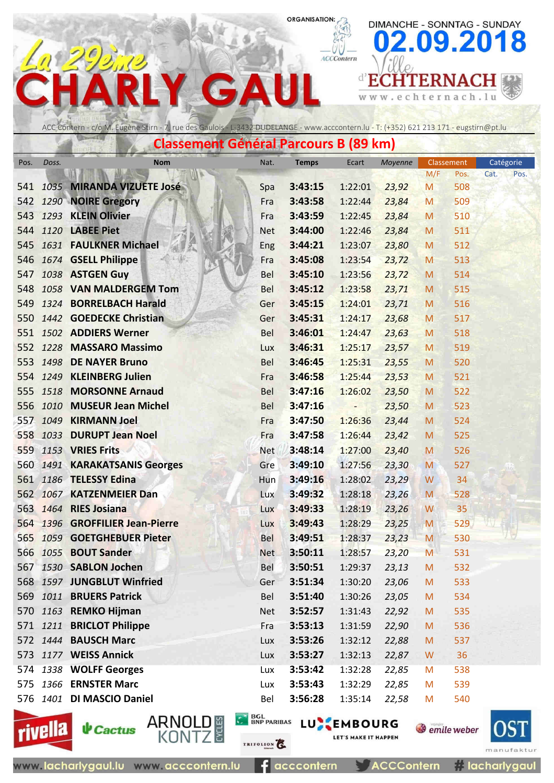ACCContern

 $n$ loo

 $\leq$  w  $\leq$  .

e

DIMANCHE - SONNTAG - SUNDAY

chternach.lu

**d'ECHTERNACH** 

09.2018

ACC Contern - c/o M. Eugène Stirn - 7, rue des Gaulois - L-3432 DUDELANGE - www.acccontern.lu - T: (+352) 621 213 171 - eugstirn@pt.lu

 $\mathbf{\Lambda}$ 

**Concert Cápárol Doveou** 

G

|      | Classellient General Partours D (09 MH) |                               |            |              |                |         |            |      |           |      |  |  |
|------|-----------------------------------------|-------------------------------|------------|--------------|----------------|---------|------------|------|-----------|------|--|--|
| Pos. | Doss.                                   | <b>Nom</b>                    | Nat.       | <b>Temps</b> | Ecart          | Moyenne | Classement |      | Catégorie |      |  |  |
|      |                                         |                               |            |              |                |         | M/F        | Pos. | Cat.      | Pos. |  |  |
| 541  |                                         | 1035 MIRANDA VIZUETE José     | Spa        | 3:43:15      | 1:22:01        | 23,92   | M          | 508  |           |      |  |  |
| 542  |                                         | 1290 NOIRE Gregory            | Fra        | 3:43:58      | 1:22:44        | 23,84   | M          | 509  |           |      |  |  |
| 543  |                                         | 1293 KLEIN Olivier            | Fra        | 3:43:59      | 1:22:45        | 23,84   | M          | 510  |           |      |  |  |
| 544  |                                         | 1120 LABEE Piet               | <b>Net</b> | 3:44:00      | 1:22:46        | 23,84   | M          | 511  |           |      |  |  |
| 545  |                                         | 1631 FAULKNER Michael         | Eng        | 3:44:21      | 1:23:07        | 23,80   | M          | 512  |           |      |  |  |
| 546  |                                         | 1674 GSELL Philippe           | Fra        | 3:45:08      | 1:23:54        | 23,72   | M          | 513  |           |      |  |  |
| 547  |                                         | 1038 ASTGEN Guy               | <b>Bel</b> | 3:45:10      | 1:23:56        | 23,72   | M          | 514  |           |      |  |  |
| 548  |                                         | 1058 VAN MALDERGEM Tom        | <b>Bel</b> | 3:45:12      | 1:23:58        | 23,71   | M          | 515  |           |      |  |  |
| 549  |                                         | 1324 BORRELBACH Harald        | Ger        | 3:45:15      | 1:24:01        | 23,71   | M          | 516  |           |      |  |  |
| 550  |                                         | 1442 GOEDECKE Christian       | Ger        | 3:45:31      | 1:24:17        | 23,68   | M          | 517  |           |      |  |  |
| 551  |                                         | 1502 ADDIERS Werner           | Bel        | 3:46:01      | 1:24:47        | 23,63   | M          | 518  |           |      |  |  |
|      |                                         | 552 1228 MASSARO Massimo      | Lux        | 3:46:31      | 1:25:17        | 23,57   | M          | 519  |           |      |  |  |
| 553  | 1498                                    | <b>DE NAYER Bruno</b>         | <b>Bel</b> | 3:46:45      | 1:25:31        | 23,55   | M          | 520  |           |      |  |  |
| 554  |                                         | 1249 KLEINBERG Julien         | Fra        | 3:46:58      | 1:25:44        | 23,53   | M          | 521  |           |      |  |  |
| 555  | 1518                                    | <b>MORSONNE Arnaud</b>        | <b>Bel</b> | 3:47:16      | 1:26:02        | 23,50   | M          | 522  |           |      |  |  |
| 556  | 1010                                    | <b>MUSEUR Jean Michel</b>     | <b>Bel</b> | 3:47:16      | $\overline{a}$ | 23,50   | M          | 523  |           |      |  |  |
| 557  |                                         | 1049 KIRMANN Joel             | Fra        | 3:47:50      | 1:26:36        | 23,44   | M          | 524  |           |      |  |  |
| 558  | 1033                                    | <b>DURUPT Jean Noel</b>       | Fra        | 3:47:58      | 1:26:44        | 23,42   | M          | 525  |           |      |  |  |
| 559  |                                         | 1153 VRIES Frits              | <b>Net</b> | 3:48:14      | 1:27:00        | 23,40   | M          | 526  |           |      |  |  |
|      |                                         | 560 1491 KARAKATSANIS Georges | Gre        | 3:49:10      | 1:27:56        | 23,30   | M          | 527  |           |      |  |  |
|      |                                         | 561 1186 TELESSY Edina        | Hun        | 3:49:16      | 1:28:02        | 23,29   | W          | 34   |           |      |  |  |
| 562  |                                         | 1067 KATZENMEIER Dan          | Lux        | 3:49:32      | 1:28:18        | 23,26   | M          | 528  |           |      |  |  |
| 563  |                                         | 1464 RIES Josiana             | Lux        | 3:49:33      | 1:28:19        | 23,26   | W          | 35   |           |      |  |  |
| 564  |                                         | 1396 GROFFILIER Jean-Pierre   | Lux        | 3:49:43      | 1:28:29        | 23,25   | M          | 529  |           |      |  |  |
| 565  |                                         | 1059 GOETGHEBUER Pieter       | <b>Bel</b> | 3:49:51      | 1:28:37        | 23,23   | M          | 530  |           |      |  |  |
| 566  |                                         | 1055 BOUT Sander              | Net.       | 3:50:11      | 1:28:57        | 23,20   | M          | 531  |           |      |  |  |
| 567  |                                         | 1530 SABLON Jochen            | Bel        | 3:50:51      | 1:29:37        | 23,13   | M          | 532  |           |      |  |  |
|      |                                         | 568 1597 JUNGBLUT Winfried    | Ger        | 3:51:34      | 1:30:20        | 23,06   | M          | 533  |           |      |  |  |
|      |                                         | 569 1011 BRUERS Patrick       | Bel        | 3:51:40      | 1:30:26        | 23,05   | M          | 534  |           |      |  |  |
|      |                                         | 570 1163 REMKO Hijman         | <b>Net</b> | 3:52:57      | 1:31:43        | 22,92   | M          | 535  |           |      |  |  |
|      |                                         | 571 1211 BRICLOT Philippe     | Fra        | 3:53:13      | 1:31:59        | 22,90   | M          | 536  |           |      |  |  |
|      |                                         | 572 1444 BAUSCH Marc          | Lux        | 3:53:26      | 1:32:12        | 22,88   | M          | 537  |           |      |  |  |
|      |                                         | 573 1177 WEISS Annick         | Lux        | 3:53:27      | 1:32:13        | 22,87   | W          | 36   |           |      |  |  |
|      |                                         | 574 1338 WOLFF Georges        | Lux        | 3:53:42      | 1:32:28        | 22,85   | M          | 538  |           |      |  |  |
|      |                                         | 575 1366 ERNSTER Marc         | Lux        | 3:53:43      | 1:32:29        | 22,85   | M          | 539  |           |      |  |  |
|      |                                         | 576 1401 DI MASCIO Daniel     | Bel        | 3:56:28      | 1:35:14        | 22,58   | M          | 540  |           |      |  |  |
|      |                                         |                               |            |              |                |         |            |      |           |      |  |  |





TRIFOLION<sup>2</sup>

c١

**C BOL BNP PARIBAS LU EMBOURG** LET'S MAKE IT HAPPEN

**ACCContern** 

**S** emile weber



acccontern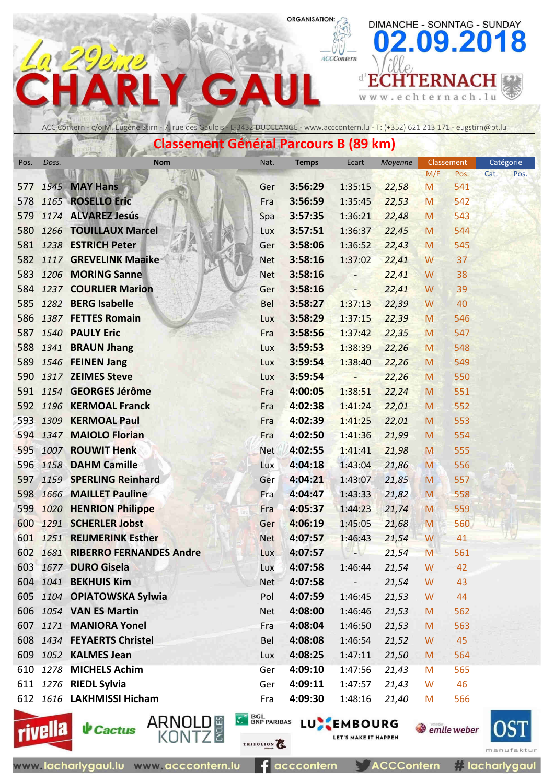ACCContern

 $D$   $I$ 

 $\leq$  w  $\leq$  .

e

DIMANCHE - SONNTAG - SUNDAY

chternach.lu

**d'ECHTERNACH** 

09.2018

ACC Contern - c/o M. Eugène Stirn - 7, rue des Gaulois - L-3432 DUDELANGE - www.acccontern.lu - T: (+352) 621 213 171 - eugstirn@pt.lu

 $\mathbf{\Lambda}$ 

**Concert Canadian Doveous** 

G

|            | Classellient General Parcours D (09 Kill) |                                           |                            |                    |                          |                |        |                      |              |  |  |  |
|------------|-------------------------------------------|-------------------------------------------|----------------------------|--------------------|--------------------------|----------------|--------|----------------------|--------------|--|--|--|
| Pos.       | Doss.                                     | <b>Nom</b>                                | Nat.                       | <b>Temps</b>       | Ecart                    | Moyenne        |        | <b>Classement</b>    | Catégorie    |  |  |  |
|            |                                           |                                           |                            |                    |                          |                | M/F    | Pos.                 | Cat.<br>Pos. |  |  |  |
| 577<br>578 |                                           | <b>1545 MAY Hans</b><br>1165 ROSELLO Eric | Ger                        | 3:56:29<br>3:56:59 | 1:35:15<br>1:35:45       | 22,58          | M      | 541<br>542           |              |  |  |  |
| 579        |                                           | 1174 ALVAREZ Jesús                        | Fra                        | 3:57:35            | 1:36:21                  | 22,53<br>22,48 | M      | 543                  |              |  |  |  |
| 580        |                                           | 1266 TOUILLAUX Marcel                     | Spa                        | 3:57:51            | 1:36:37                  | 22,45          | M      | 544                  |              |  |  |  |
|            |                                           | 581 1238 ESTRICH Peter                    | Lux<br>Ger                 | 3:58:06            | 1:36:52                  | 22,43          | M<br>M | 545                  |              |  |  |  |
| 582        |                                           | 1117 GREVELINK Maaike                     | <b>Net</b>                 | 3:58:16            | 1:37:02                  | 22,41          | W      | 37                   |              |  |  |  |
|            |                                           | 583 1206 MORING Sanne                     | <b>Net</b>                 | 3:58:16            | ÷                        | 22,41          | W      | 38                   |              |  |  |  |
|            |                                           | 584 1237 COURLIER Marion                  | Ger                        | 3:58:16            | F                        | 22,41          | W      | 39                   |              |  |  |  |
|            |                                           | 585 1282 BERG Isabelle                    | Bel                        | 3:58:27            | 1:37:13                  | 22,39          | W      | 40                   |              |  |  |  |
| 586        |                                           | 1387 FETTES Romain                        | Lux                        | 3:58:29            | 1:37:15                  | 22,39          | M      | 546                  |              |  |  |  |
| 587        |                                           | 1540 PAULY Eric                           | Fra                        | 3:58:56            | 1:37:42                  | 22,35          | M      | 547                  |              |  |  |  |
|            |                                           | 588 1341 BRAUN Jhang                      | Lux                        | 3:59:53            | 1:38:39                  | 22,26          | M      | 548                  |              |  |  |  |
| 589        |                                           | 1546 FEINEN Jang                          | Lux                        | 3:59:54            | 1:38:40                  | 22,26          | M      | 549                  |              |  |  |  |
| 590        |                                           | 1317 ZEIMES Steve                         | Lux                        | 3:59:54            | $\overline{\phantom{a}}$ | 22,26          | M      | 550                  |              |  |  |  |
|            |                                           | 591 1154 GEORGES Jérôme                   | Fra                        | 4:00:05            | 1:38:51                  | 22,24          | M      | 551                  |              |  |  |  |
| 592        |                                           | 1196 KERMOAL Franck                       | Fra                        | 4:02:38            | 1:41:24                  | 22,01          | M      | 552                  |              |  |  |  |
|            |                                           | 593 1309 KERMOAL Paul                     | Fra                        | 4:02:39            | 1:41:25                  | 22,01          | M      | 553                  |              |  |  |  |
|            |                                           | 594 1347 MAIOLO Florian                   | Fra                        | 4:02:50            | 1:41:36                  | 21,99          | M      | 554                  |              |  |  |  |
| 595        |                                           | 1007 ROUWIT Henk                          | <b>Net</b>                 | 4:02:55            | 1:41:41                  | 21,98          | M      | 555                  |              |  |  |  |
|            |                                           | 596 1158 DAHM Camille                     | Lux                        | 4:04:18            | 1:43:04                  | 21,86          | M      | 556                  |              |  |  |  |
|            |                                           | 597 1159 SPERLING Reinhard                | Ger                        | 4:04:21            | 1:43:07                  | 21,85          | M      | 557                  |              |  |  |  |
| 598        |                                           | 1666 MAILLET Pauline                      | Fra                        | 4:04:47            | 1:43:33                  | 21,82          | M      | 558                  |              |  |  |  |
| 599        |                                           | 1020 HENRION Philippe                     | Fra                        | 4:05:37            | 1:44:23                  | 21,74          | M      | 559                  |              |  |  |  |
|            |                                           | 600 1291 SCHERLER Jobst                   | Ger                        | 4:06:19            | 1:45:05                  | 21,68          | M      | 560                  |              |  |  |  |
|            |                                           | 601 1251 REIJMERINK Esther                | <b>Net</b>                 | 4:07:57            | 1:46:43                  | 21,54          | W      | 41                   |              |  |  |  |
|            |                                           | 602 1681 RIBERRO FERNANDES Andre          | <b>Lux</b>                 | 4:07:57            | -16                      | 21,54          | M      | 561                  |              |  |  |  |
| 603        |                                           | 1677 DURO Gisela                          | Lux                        | 4:07:58            | 1:46:44                  | 21,54          | W      | 42                   |              |  |  |  |
| 604        |                                           | 1041 BEKHUIS Kim                          | <b>Net</b>                 | 4:07:58            |                          | 21,54          | W      | 43                   |              |  |  |  |
|            |                                           | 605 1104 OPIATOWSKA Sylwia                | Pol                        | 4:07:59            | 1:46:45                  | 21,53          | W      | 44                   |              |  |  |  |
|            |                                           | 606 1054 VAN ES Martin                    | <b>Net</b>                 | 4:08:00            | 1:46:46                  | 21,53          | M      | 562                  |              |  |  |  |
| 607        |                                           | 1171 MANIORA Yonel                        | Fra                        | 4:08:04            | 1:46:50                  | 21,53          | M      | 563                  |              |  |  |  |
|            |                                           | 608 1434 FEYAERTS Christel                | Bel                        | 4:08:08            | 1:46:54                  | 21,52          | W      | 45                   |              |  |  |  |
|            |                                           | 609 1052 KALMES Jean                      | Lux                        | 4:08:25            | 1:47:11                  | 21,50          | M      | 564                  |              |  |  |  |
| 610        | 1278                                      | <b>MICHELS Achim</b>                      | Ger                        | 4:09:10            | 1:47:56                  | 21,43          | M      | 565                  |              |  |  |  |
|            |                                           | 611 1276 RIEDL Sylvia                     | Ger                        | 4:09:11            | 1:47:57                  | 21,43          | W      | 46                   |              |  |  |  |
|            |                                           | 612 1616 LAKHMISSI Hicham                 | Fra                        | 4:09:30            | 1:48:16                  | 21,40          | M      | 566                  |              |  |  |  |
|            | <b>vivella</b>                            | <b>V</b> Cactus                           | <b>BGL<br/>BNP PARIBAS</b> |                    | LUGEMBOURG               |                |        | <b>S</b> emile weber |              |  |  |  |



**↓** Cactus

ARNOLD #<br>KONTZ

61 acccontern

TRIFOLION<sup>2</sup>

**ACCContern** 

LET'S MAKE IT HAPPEN

*i* lacharlygaul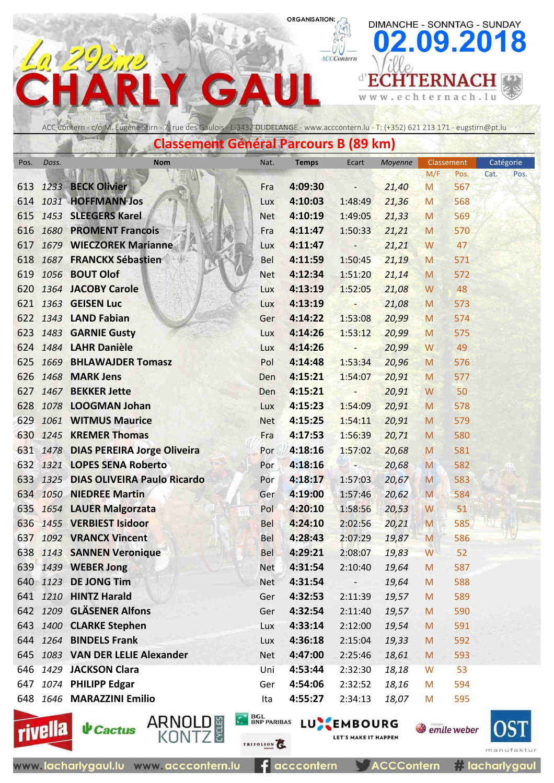ACCContern

DIMANCHE - SONNTAG - SUNDAY

erna

c h

 $\mathbf t$ 

e

09.2018

 $h.1u$  $\mathbb C$ 

# **d'ECHTERNACH**  $\Delta$ G w w w .

ACC Contern - c/o M. Eugène Stirn - 7, rue des Gaulois - L-3432 DUDELANGE - www.acccontern.lu - T: (+352) 621 213 171 - eugstirn@pt.lu

**Classement Général Parcours B (89 km)**

| Pos. | Doss. | <b>Nom</b>                           | Nat.       | <b>Temps</b> | Ecart                    | Moyenne         | Classement                                                                                                 |             | Catégorie    |
|------|-------|--------------------------------------|------------|--------------|--------------------------|-----------------|------------------------------------------------------------------------------------------------------------|-------------|--------------|
| 613  |       | 1233 BECK Olivier                    | Fra        | 4:09:30      |                          | 21,40           | M/F<br>M                                                                                                   | Pos.<br>567 | Cat.<br>Pos. |
| 614  |       | 1031 HOFFMANN Jos                    | Lux        | 4:10:03      | 1:48:49                  | 21,36           | M                                                                                                          | 568         |              |
| 615  |       | 1453 SLEEGERS Karel                  | <b>Net</b> | 4:10:19      | 1:49:05                  | 21,33           | M                                                                                                          | 569         |              |
| 616  |       | 1680 PROMENT Francois                | Fra        | 4:11:47      | 1:50:33                  | 21,21           | M                                                                                                          | 570         |              |
| 617  |       | 1679 WIECZOREK Marianne              | Lux        | 4:11:47      | $\qquad \qquad -$        | 21,21           | W                                                                                                          | 47          |              |
| 618  |       | 1687 FRANCKX Sébastien               | Bel        | 4:11:59      | 1:50:45                  | 21,19           | M                                                                                                          | 571         |              |
| 619  |       | 1056 <b>BOUT Olof</b>                | <b>Net</b> | 4:12:34      | 1:51:20                  | 21,14           | M                                                                                                          | 572         |              |
| 620  |       | 1364 JACOBY Carole                   | Lux        | 4:13:19      | 1:52:05                  | 21,08           | W                                                                                                          | 48          |              |
|      |       | 621 1363 GEISEN Luc                  | Lux        | 4:13:19      | $\overline{\phantom{a}}$ | 21,08           | M                                                                                                          | 573         |              |
|      |       | 622 1343 LAND Fabian                 | Ger        | 4:14:22      | 1:53:08                  | 20,99           | M                                                                                                          | 574         |              |
|      |       | 623 1483 <b>GARNIE Gusty</b>         | Lux        | 4:14:26      | 1:53:12                  | 20,99           | M                                                                                                          | 575         |              |
|      |       | 624 1484 LAHR Danièle                | Lux        | 4:14:26      | $\overline{\phantom{a}}$ | 20,99           | W                                                                                                          | 49          |              |
| 625  |       | 1669 BHLAWAJDER Tomasz               | Pol        | 4:14:48      | 1:53:34                  | 20,96           | M                                                                                                          | 576         |              |
|      |       | 626 1468 MARK Jens                   | <b>Den</b> | 4:15:21      | 1:54:07                  | 20,91           | M                                                                                                          | 577         |              |
|      |       | 627 1467 BEKKER Jette                | Den        | 4:15:21      | $\overline{a}$           | 20,91           | W                                                                                                          | 50          |              |
| 628  |       | 1078 LOOGMAN Johan                   | Lux        | 4:15:23      | 1:54:09                  | 20,91           | M                                                                                                          | 578         |              |
| 629  |       | 1061 WITMUS Maurice                  | <b>Net</b> | 4:15:25      | 1:54:11                  | 20,91           | M                                                                                                          | 579         |              |
|      |       | 630 1245 KREMER Thomas               | Fra        | 4:17:53      | 1:56:39                  | 20,71           | M                                                                                                          | 580         |              |
|      |       | 631 1478 DIAS PEREIRA Jorge Oliveira | Por        | 4:18:16      | 1:57:02                  | 20,68           | M                                                                                                          | 581         |              |
|      |       | 632 1321 LOPES SENA Roberto          | Por        | 4:18:16      | H.                       | 20,68           | M                                                                                                          | 582         |              |
| 633  |       | 1325 DIAS OLIVEIRA Paulo Ricardo     | Por        | 4:18:17      | 1:57:03                  | 20,67           | M                                                                                                          | 583         |              |
|      |       | 634 1050 NIEDREE Martin              | Ger        | 4:19:00      | 1:57:46                  | 20,62           | M                                                                                                          | 584         |              |
|      |       | 635 1654 LAUER Malgorzata            | Pol        | 4:20:10      | 1:58:56                  | 20,53           | W                                                                                                          | 51          |              |
|      |       | 636 1455 VERBIEST Isidoor            | Bel        | 4:24:10      | 2:02:56                  | 20,21           | M                                                                                                          | 585         |              |
| 637  |       | 1092 VRANCX Vincent                  | <b>Bel</b> | 4:28:43      | 2:07:29                  | 19,87           | M                                                                                                          | 586         |              |
|      |       | 638 1143 SANNEN Veronique            | <b>Bel</b> | 4:29:21      | 2:08:07                  | 19,83           | W                                                                                                          | 52          |              |
|      |       | 639 1439 WEBER Jong                  | <b>Net</b> | 4:31:54      |                          | 2:10:40 19,64 M |                                                                                                            | 587         |              |
|      |       | 640 1123 DE JONG Tim                 | <b>Net</b> | 4:31:54      | $\overline{\phantom{0}}$ | 19,64           | $\mathsf{M}% _{T}=\mathsf{M}_{T}\!\left( a,b\right) ,\ \mathsf{M}_{T}=\mathsf{M}_{T}\!\left( a,b\right) ,$ | 588         |              |
|      |       | 641 1210 HINTZ Harald                | Ger        | 4:32:53      | 2:11:39                  | 19,57           | M                                                                                                          | 589         |              |
|      |       | 642 1209 GLÄSENER Alfons             | Ger        | 4:32:54      | 2:11:40                  | 19,57           | M                                                                                                          | 590         |              |
|      |       | 643 1400 CLARKE Stephen              | Lux        | 4:33:14      | 2:12:00                  | 19,54           | M                                                                                                          | 591         |              |
|      |       | 644 1264 BINDELS Frank               | Lux        | 4:36:18      | 2:15:04                  | 19,33           | M                                                                                                          | 592         |              |
|      |       | 645 1083 VAN DER LELIE Alexander     | <b>Net</b> | 4:47:00      | 2:25:46                  | 18,61           | M                                                                                                          | 593         |              |
|      |       | 646 1429 JACKSON Clara               | Uni        | 4:53:44      | 2:32:30                  | 18,18           | W                                                                                                          | 53          |              |
|      |       | 647 1074 PHILIPP Edgar               | Ger        | 4:54:06      | 2:32:52                  | 18,16           | M                                                                                                          | 594         |              |
|      |       | 648 1646 MARAZZINI Emilio            | Ita        | 4:55:27      | 2:34:13                  | 18,07           | M                                                                                                          | 595         |              |



**↓** Cactus

ARNOLD

TRIFOLION

BGL BNP PARIBAS LUNEMBOURG

**ACCContern**